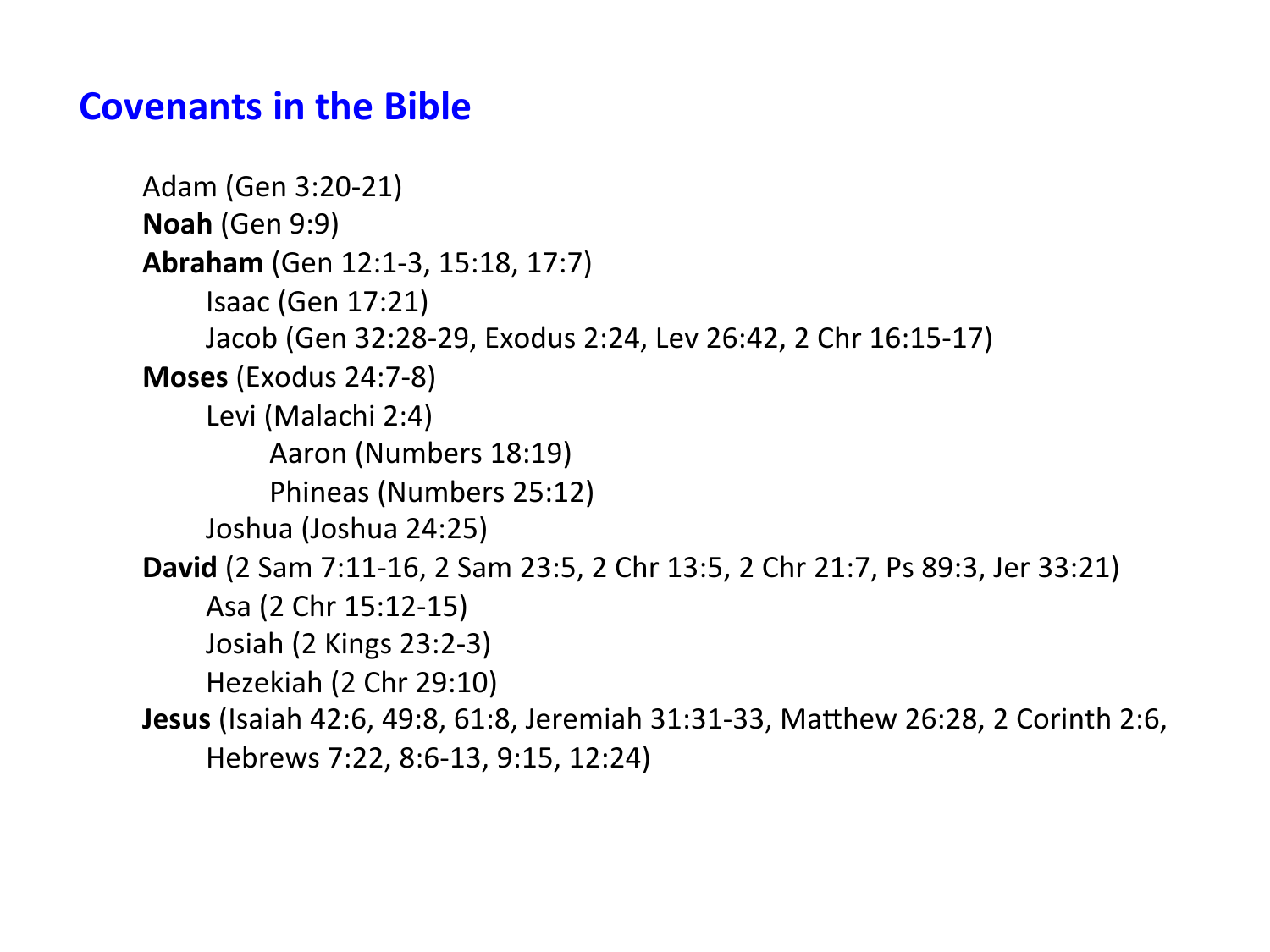# **Covenants in the Bible**

```
Adam	(Gen	3:20-21)	
Noah (Gen 9:9)
Abraham (Gen 12:1-3, 15:18, 17:7)
     	 	Isaac	(Gen	17:21)	
     Jacob (Gen 32:28-29, Exodus 2:24, Lev 26:42, 2 Chr 16:15-17)
Moses	(Exodus	24:7-8)	
     Levi (Malachi 2:4)
          Aaron (Numbers 18:19)
          Phineas (Numbers 25:12)
     Joshua (Joshua 24:25)
David (2 Sam 7:11-16, 2 Sam 23:5, 2 Chr 13:5, 2 Chr 21:7, Ps 89:3, Jer 33:21)
    	 	Asa	(2	Chr	15:12-15)	
     	 	Josiah	(2	Kings	23:2-3)	
     Hezekiah (2 Chr 29:10)
Jesus (Isaiah 42:6, 49:8, 61:8, Jeremiah 31:31-33, Matthew 26:28, 2 Corinth 2:6,
     Hebrews 7:22, 8:6-13, 9:15, 12:24)
```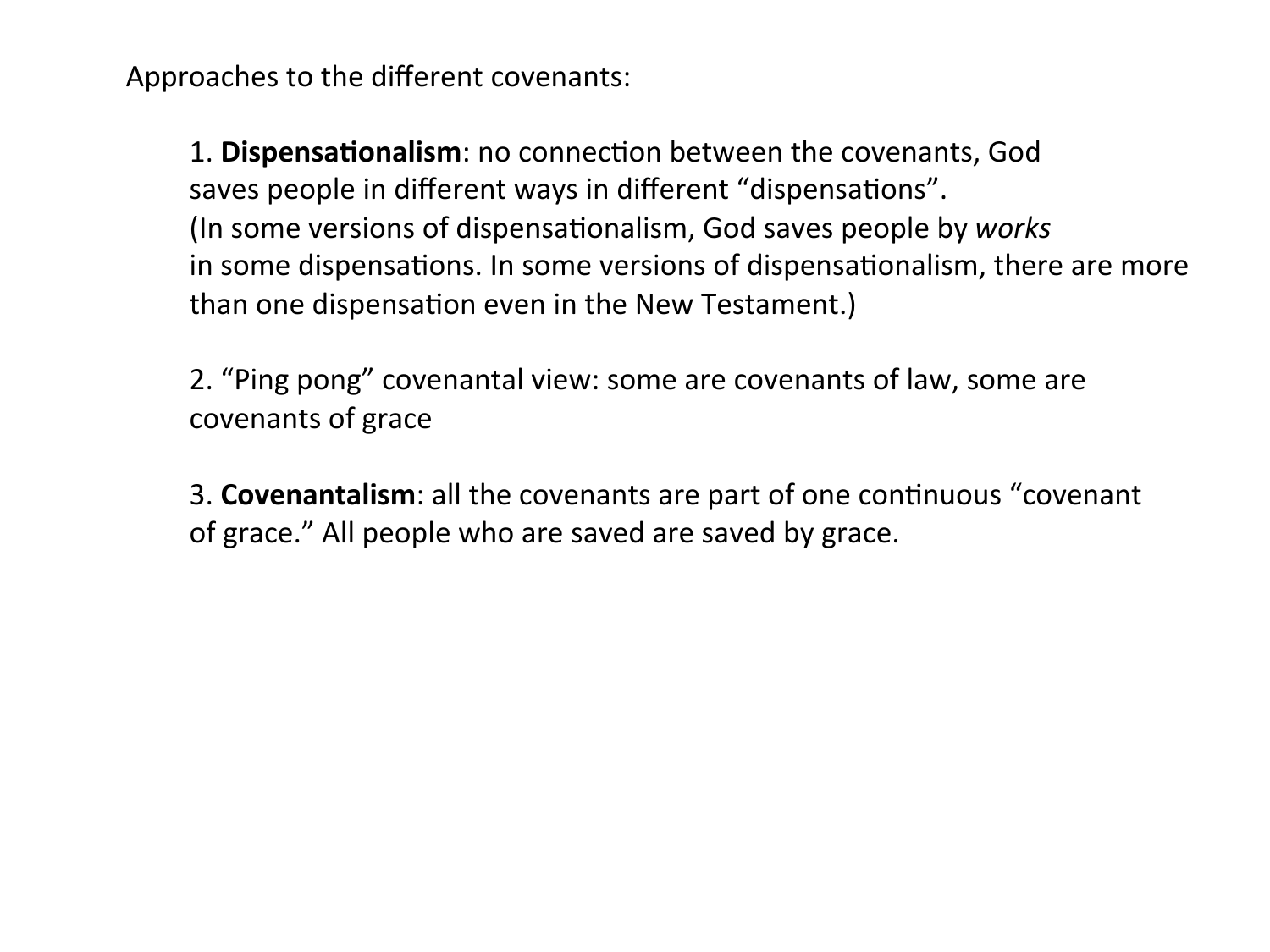Approaches to the different covenants:

1. **Dispensationalism**: no connection between the covenants, God saves people in different ways in different "dispensations". (In some versions of dispensationalism, God saves people by *works* in some dispensations. In some versions of dispensationalism, there are more than one dispensation even in the New Testament.)

2. "Ping pong" covenantal view: some are covenants of law, some are covenants of grace 

**3. Covenantalism:** all the covenants are part of one continuous "covenant of grace." All people who are saved are saved by grace.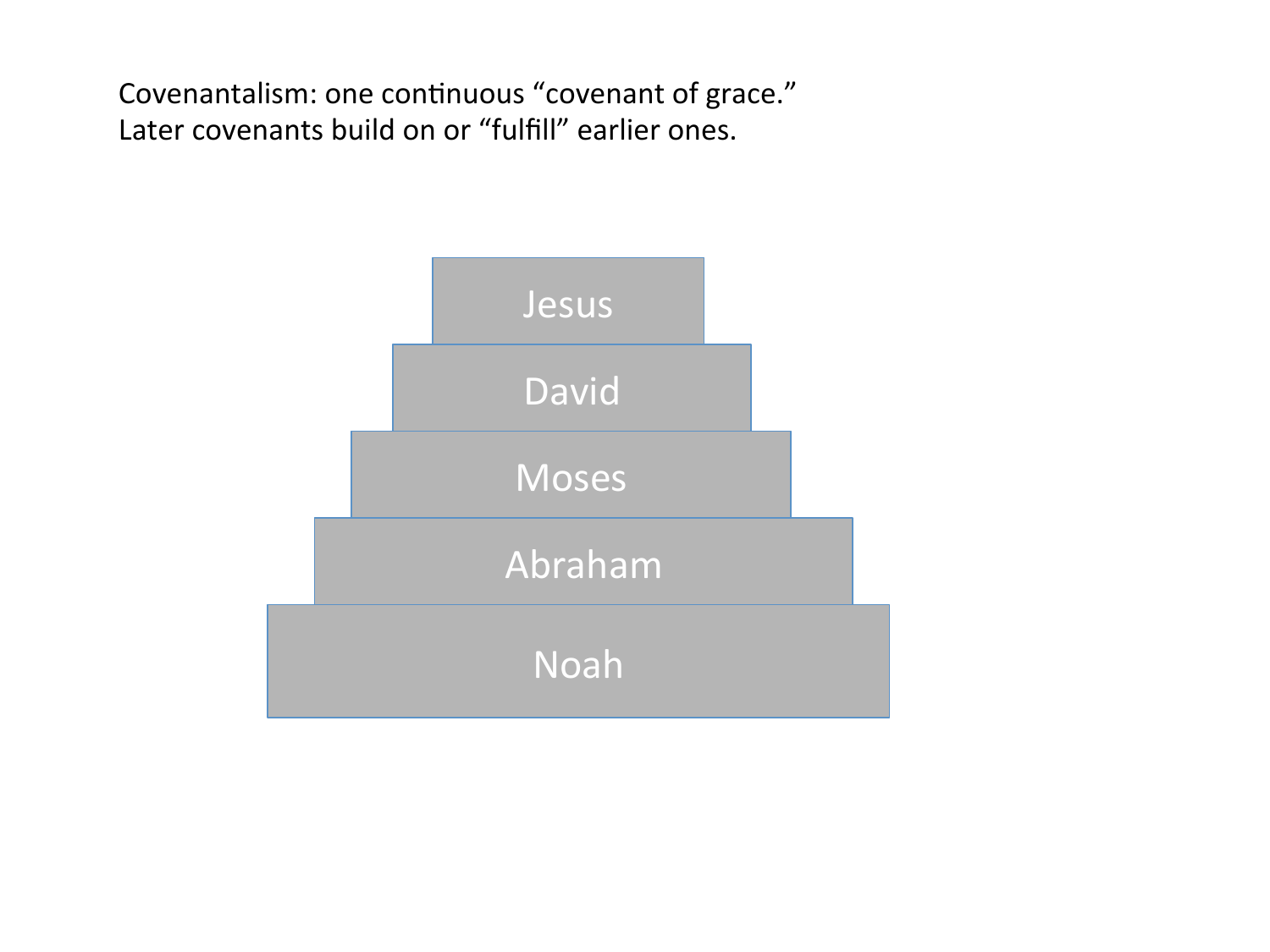Covenantalism: one continuous "covenant of grace." Later covenants build on or "fulfill" earlier ones.

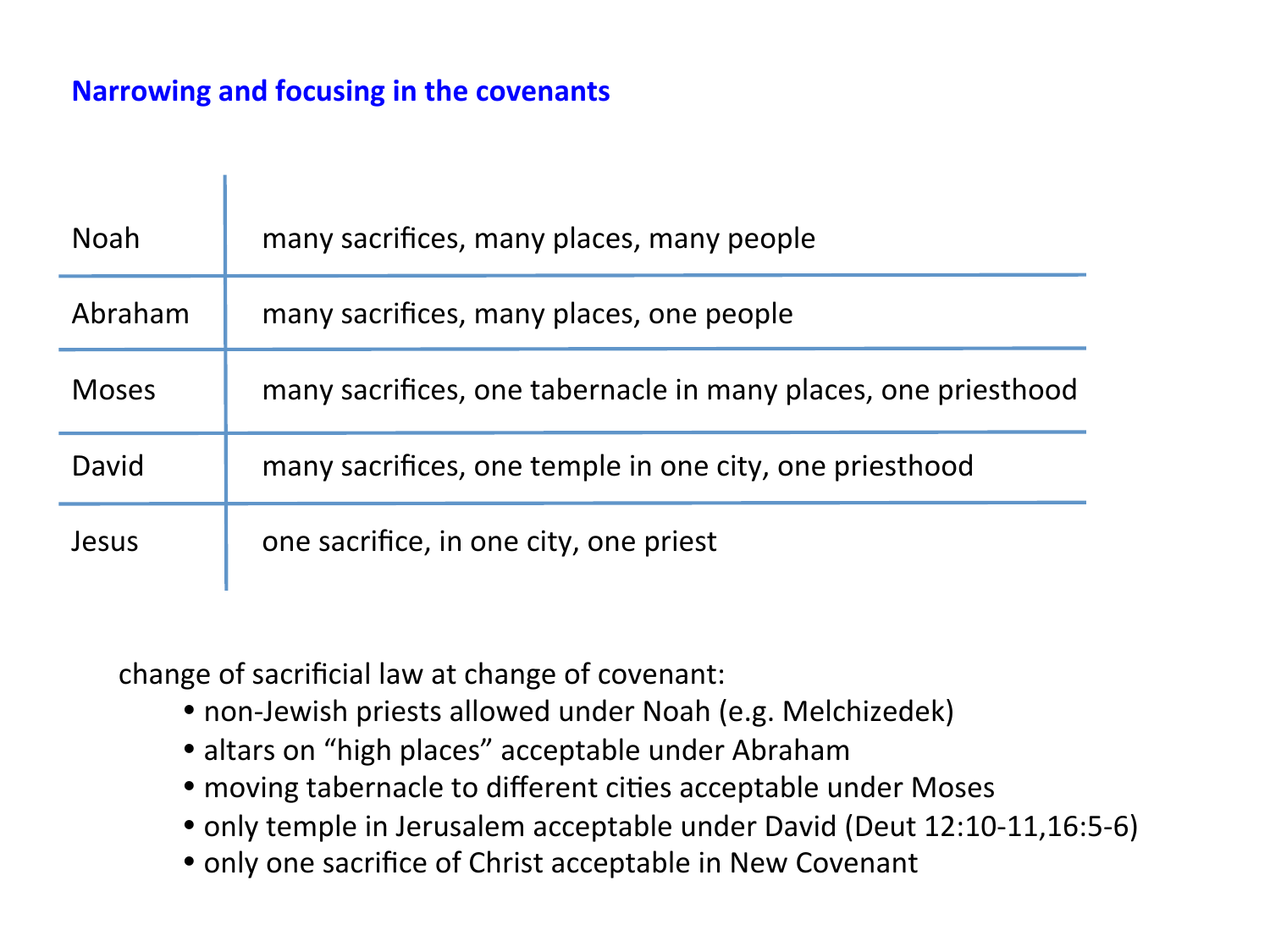### **Narrowing and focusing in the covenants**

т

| <b>Noah</b>  | many sacrifices, many places, many people                      |
|--------------|----------------------------------------------------------------|
| Abraham      | many sacrifices, many places, one people                       |
| <b>Moses</b> | many sacrifices, one tabernacle in many places, one priesthood |
| David        | many sacrifices, one temple in one city, one priesthood        |
| Jesus        | one sacrifice, in one city, one priest                         |

change of sacrificial law at change of covenant:

- non-Jewish priests allowed under Noah (e.g. Melchizedek)
- altars on "high places" acceptable under Abraham
- moving tabernacle to different cities acceptable under Moses
- only temple in Jerusalem acceptable under David (Deut 12:10-11,16:5-6)
- only one sacrifice of Christ acceptable in New Covenant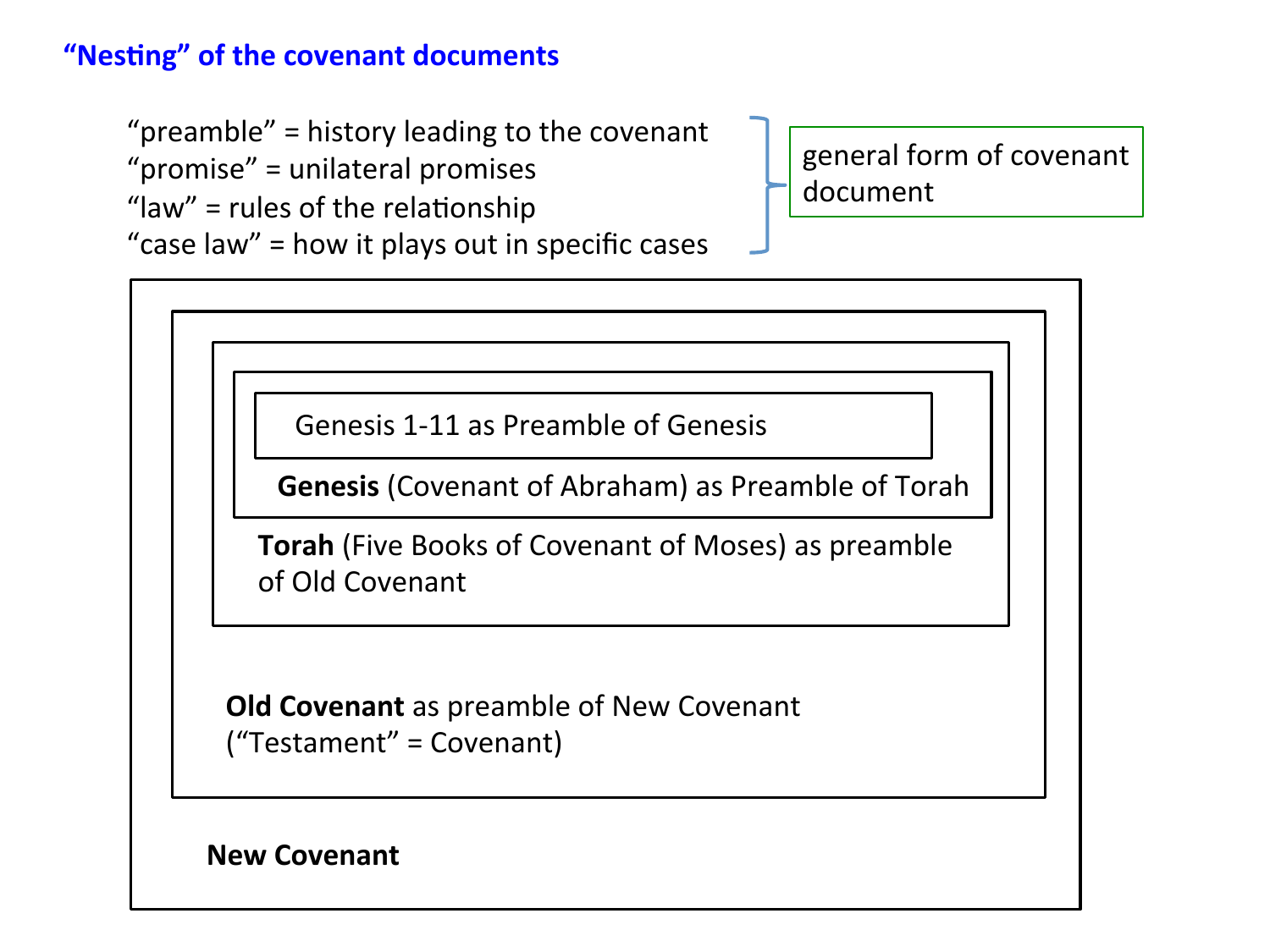# **"Nesting" of the covenant documents**

"preamble" = history leading to the covenant " $promise" = unilateral promises$ 

"law" = rules of the relationship

"case law" = how it plays out in specific cases

general form of covenant document 

Genesis 1-11 as Preamble of Genesis

**Genesis** (Covenant of Abraham) as Preamble of Torah

**Torah** (Five Books of Covenant of Moses) as preamble of Old Covenant 

**Old Covenant** as preamble of New Covenant  $("Testament" = Coverant)$ 

**New Covenant**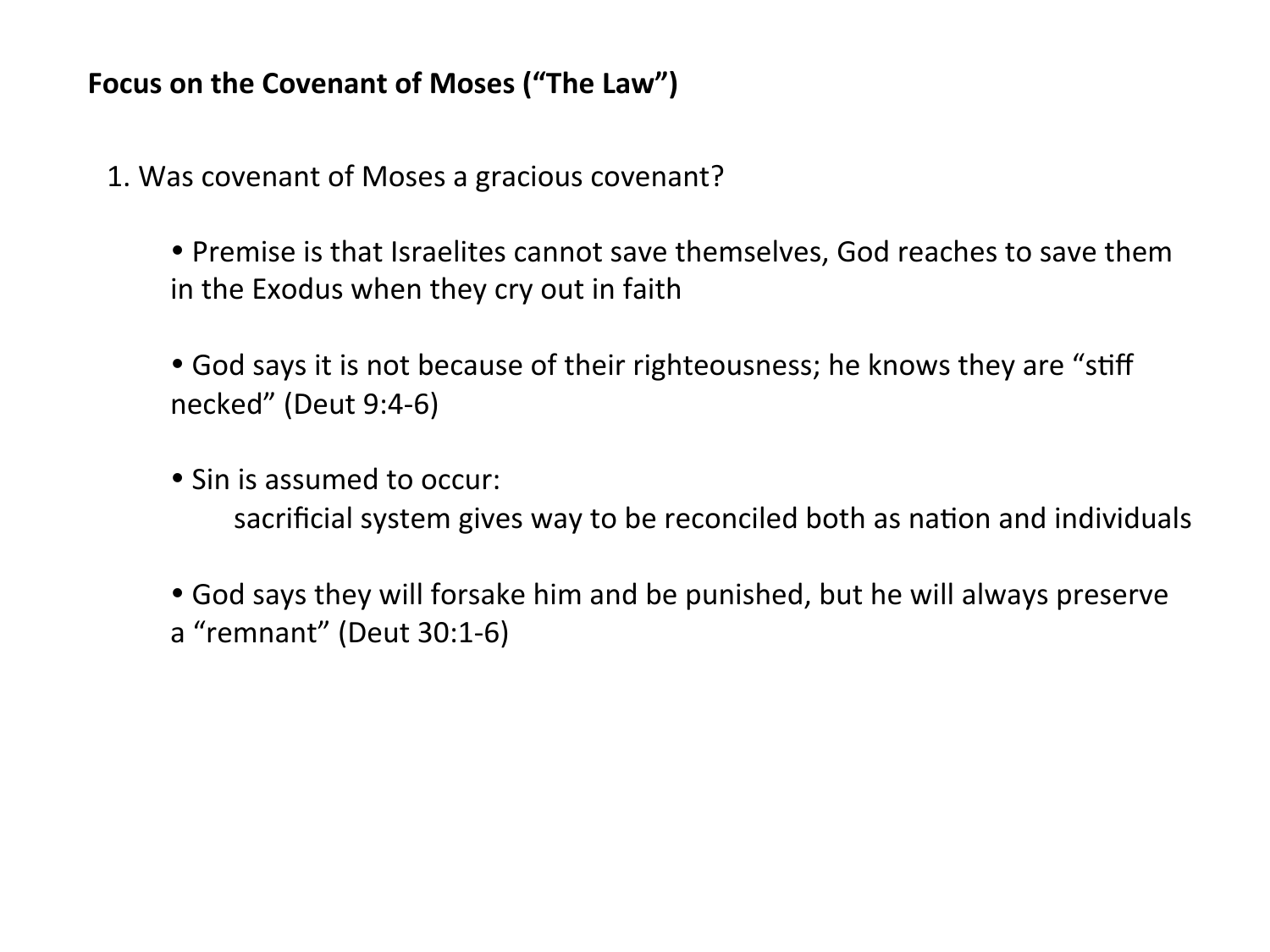- 1. Was covenant of Moses a gracious covenant?
	- Premise is that Israelites cannot save themselves, God reaches to save them in the Exodus when they cry out in faith
	- God says it is not because of their righteousness; he knows they are "stiff necked" (Deut 9:4-6)
	- Sin is assumed to occur: sacrificial system gives way to be reconciled both as nation and individuals
	- God says they will forsake him and be punished, but he will always preserve a "remnant" (Deut 30:1-6)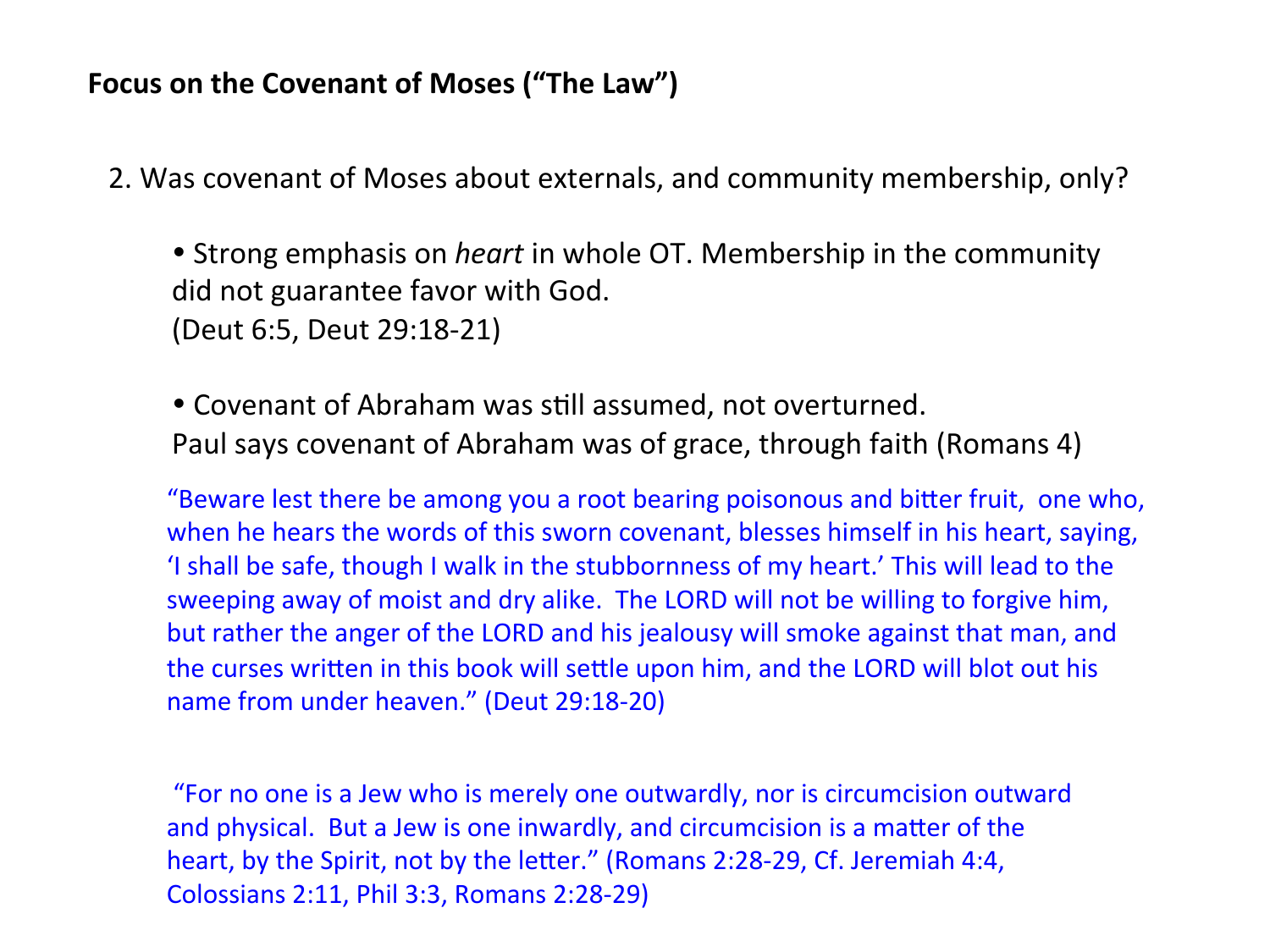2. Was covenant of Moses about externals, and community membership, only?

• Strong emphasis on *heart* in whole OT. Membership in the community did not guarantee favor with God. (Deut 6:5, Deut 29:18-21) 

• Covenant of Abraham was still assumed, not overturned. Paul says covenant of Abraham was of grace, through faith (Romans 4)

"Beware lest there be among you a root bearing poisonous and bitter fruit, one who, when he hears the words of this sworn covenant, blesses himself in his heart, saying, 'I shall be safe, though I walk in the stubbornness of my heart.' This will lead to the sweeping away of moist and dry alike. The LORD will not be willing to forgive him, but rather the anger of the LORD and his jealousy will smoke against that man, and the curses written in this book will settle upon him, and the LORD will blot out his name from under heaven." (Deut 29:18-20)

"For no one is a Jew who is merely one outwardly, nor is circumcision outward and physical. But a Jew is one inwardly, and circumcision is a matter of the heart, by the Spirit, not by the letter." (Romans 2:28-29, Cf. Jeremiah 4:4, Colossians 2:11, Phil 3:3, Romans 2:28-29)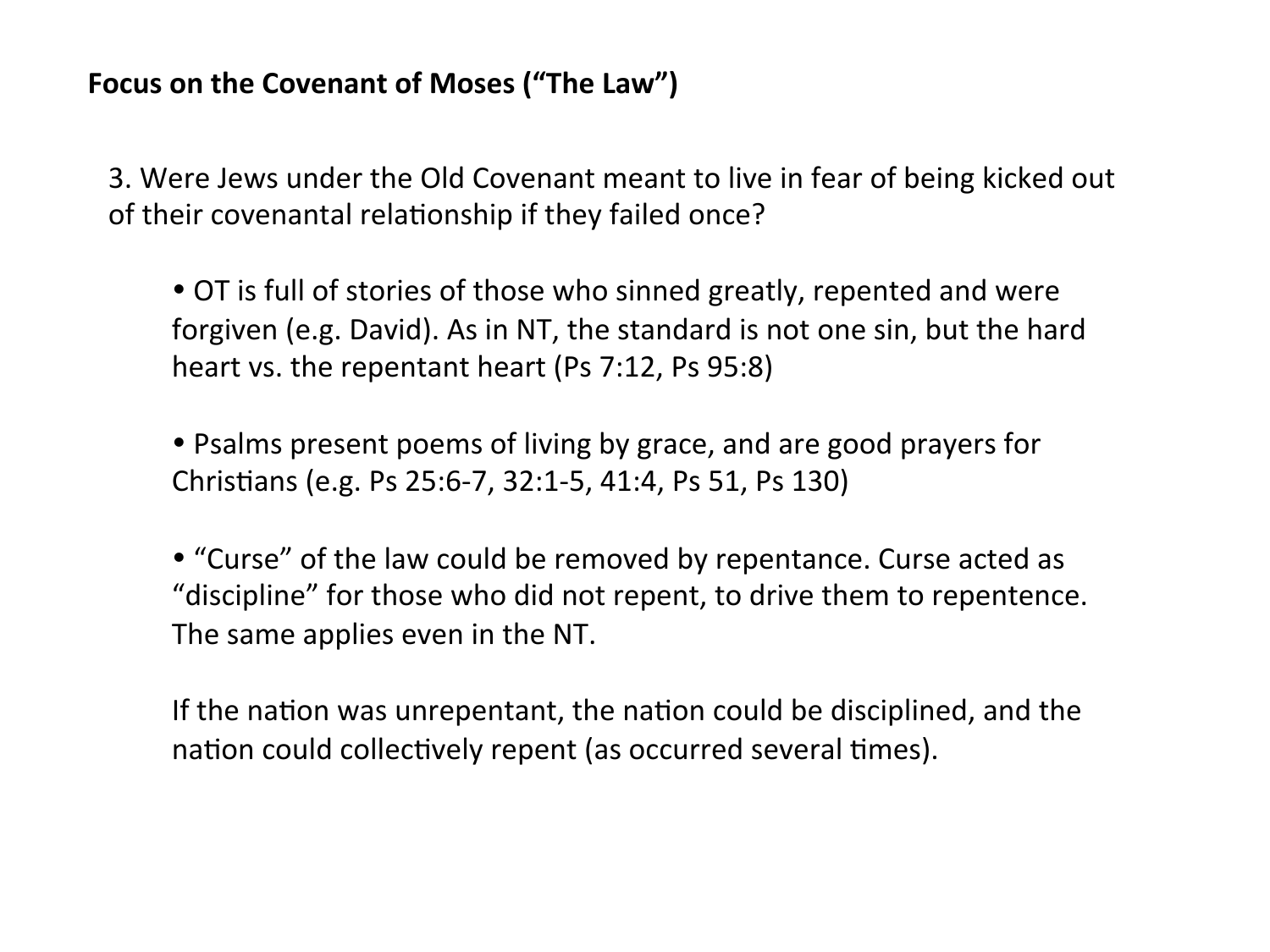3. Were Jews under the Old Covenant meant to live in fear of being kicked out of their covenantal relationship if they failed once?

• OT is full of stories of those who sinned greatly, repented and were forgiven (e.g. David). As in NT, the standard is not one sin, but the hard heart vs. the repentant heart  $(Ps 7:12, Ps 95:8)$ 

• Psalms present poems of living by grace, and are good prayers for Christians (e.g. Ps 25:6-7, 32:1-5, 41:4, Ps 51, Ps 130)

• "Curse" of the law could be removed by repentance. Curse acted as "discipline" for those who did not repent, to drive them to repentence. The same applies even in the NT.

If the nation was unrepentant, the nation could be disciplined, and the nation could collectively repent (as occurred several times).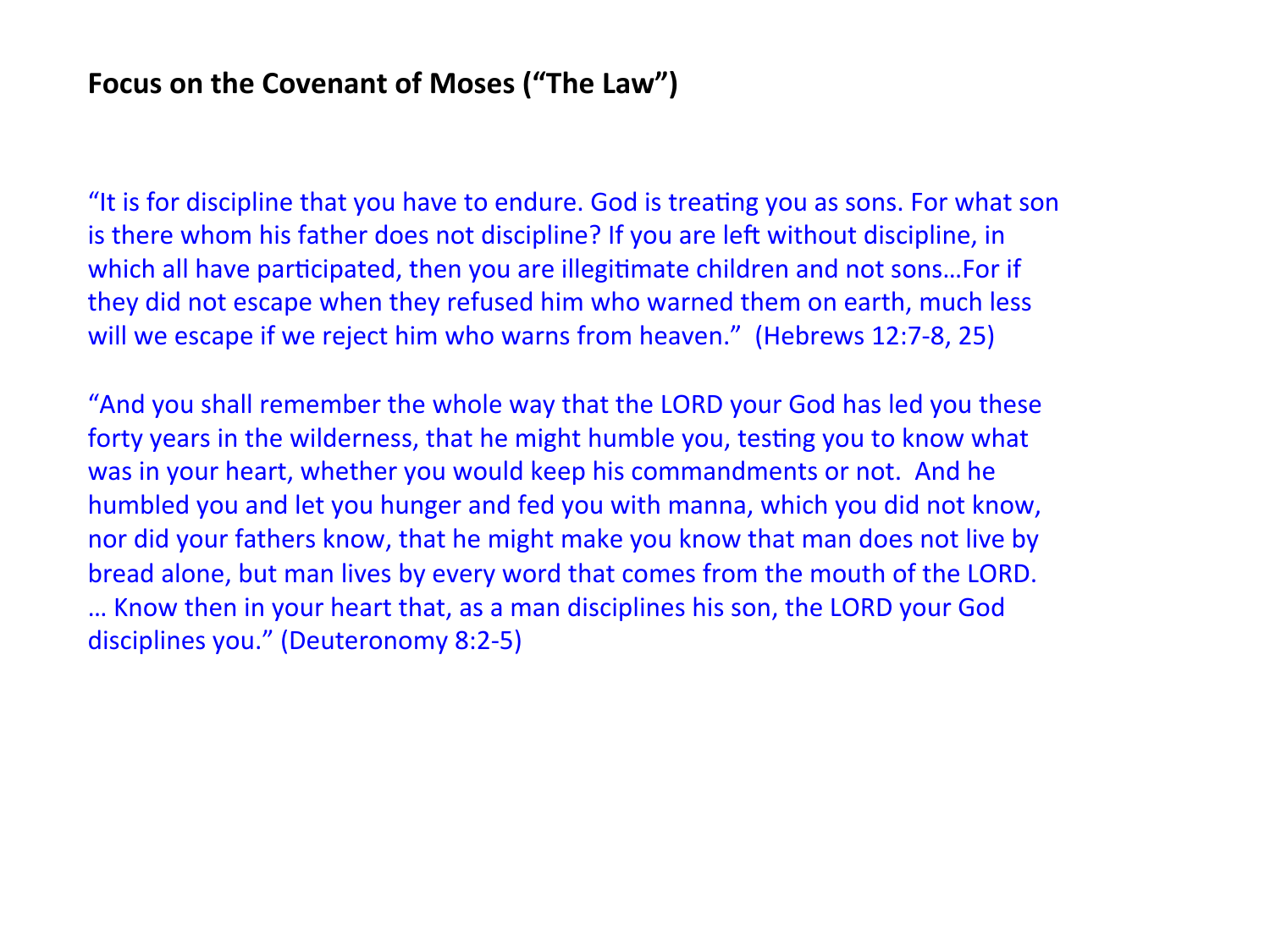"It is for discipline that you have to endure. God is treating you as sons. For what son is there whom his father does not discipline? If you are left without discipline, in which all have participated, then you are illegitimate children and not sons...For if they did not escape when they refused him who warned them on earth, much less will we escape if we reject him who warns from heaven." (Hebrews 12:7-8, 25)

"And you shall remember the whole way that the LORD your God has led you these forty years in the wilderness, that he might humble you, testing you to know what was in your heart, whether you would keep his commandments or not. And he humbled you and let you hunger and fed you with manna, which you did not know, nor did your fathers know, that he might make you know that man does not live by bread alone, but man lives by every word that comes from the mouth of the LORD. ... Know then in your heart that, as a man disciplines his son, the LORD your God disciplines you." (Deuteronomy 8:2-5)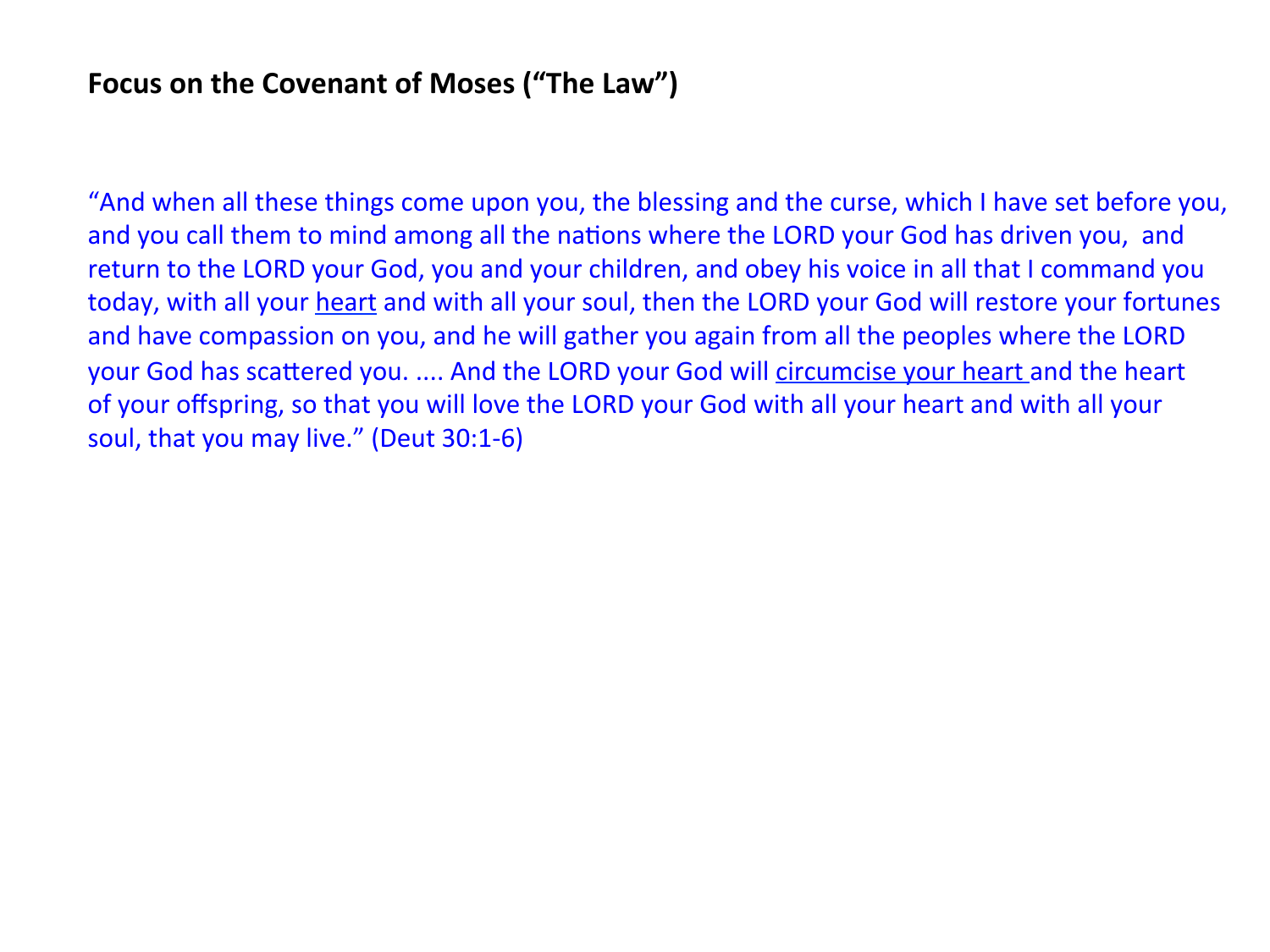"And when all these things come upon you, the blessing and the curse, which I have set before you, and you call them to mind among all the nations where the LORD your God has driven you, and return to the LORD your God, you and your children, and obey his voice in all that I command you today, with all your heart and with all your soul, then the LORD your God will restore your fortunes and have compassion on you, and he will gather you again from all the peoples where the LORD your God has scattered you. .... And the LORD your God will circumcise your heart and the heart of your offspring, so that you will love the LORD your God with all your heart and with all your soul, that you may live." (Deut 30:1-6)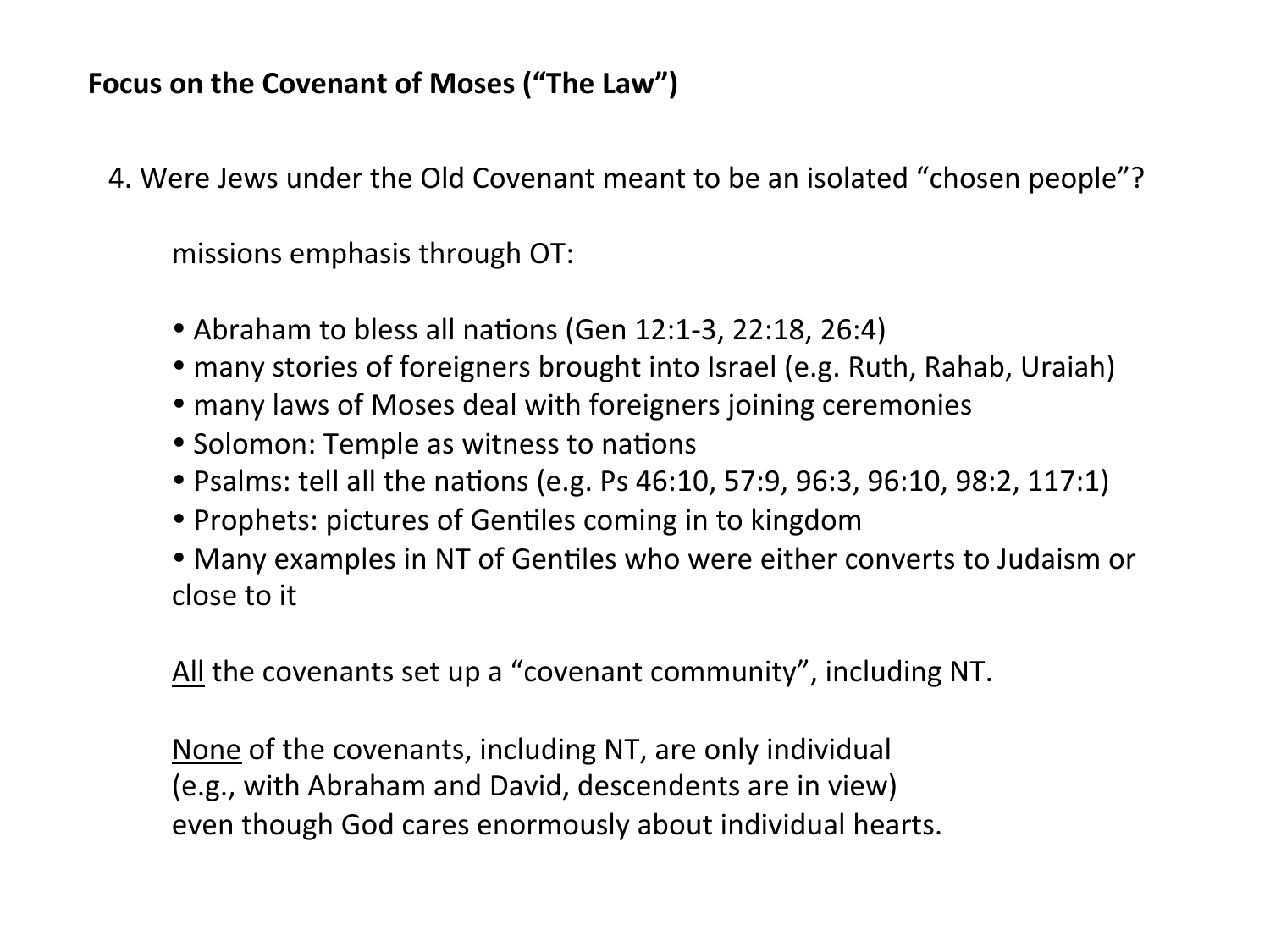4. Were Jews under the Old Covenant meant to be an isolated "chosen people"?

missions emphasis through OT:

- Abraham to bless all nations (Gen 12:1-3, 22:18, 26:4)
- many stories of foreigners brought into Israel (e.g. Ruth, Rahab, Uraiah)
- many laws of Moses deal with foreigners joining ceremonies
- Solomon: Temple as witness to nations
- Psalms: tell all the nations (e.g. Ps 46:10, 57:9, 96:3, 96:10, 98:2, 117:1)
- Prophets: pictures of Gentiles coming in to kingdom
- Many examples in NT of Gentiles who were either converts to Judaism or close to it

All the covenants set up a "covenant community", including NT.

None of the covenants, including NT, are only individual (e.g., with Abraham and David, descendents are in view) even though God cares enormously about individual hearts.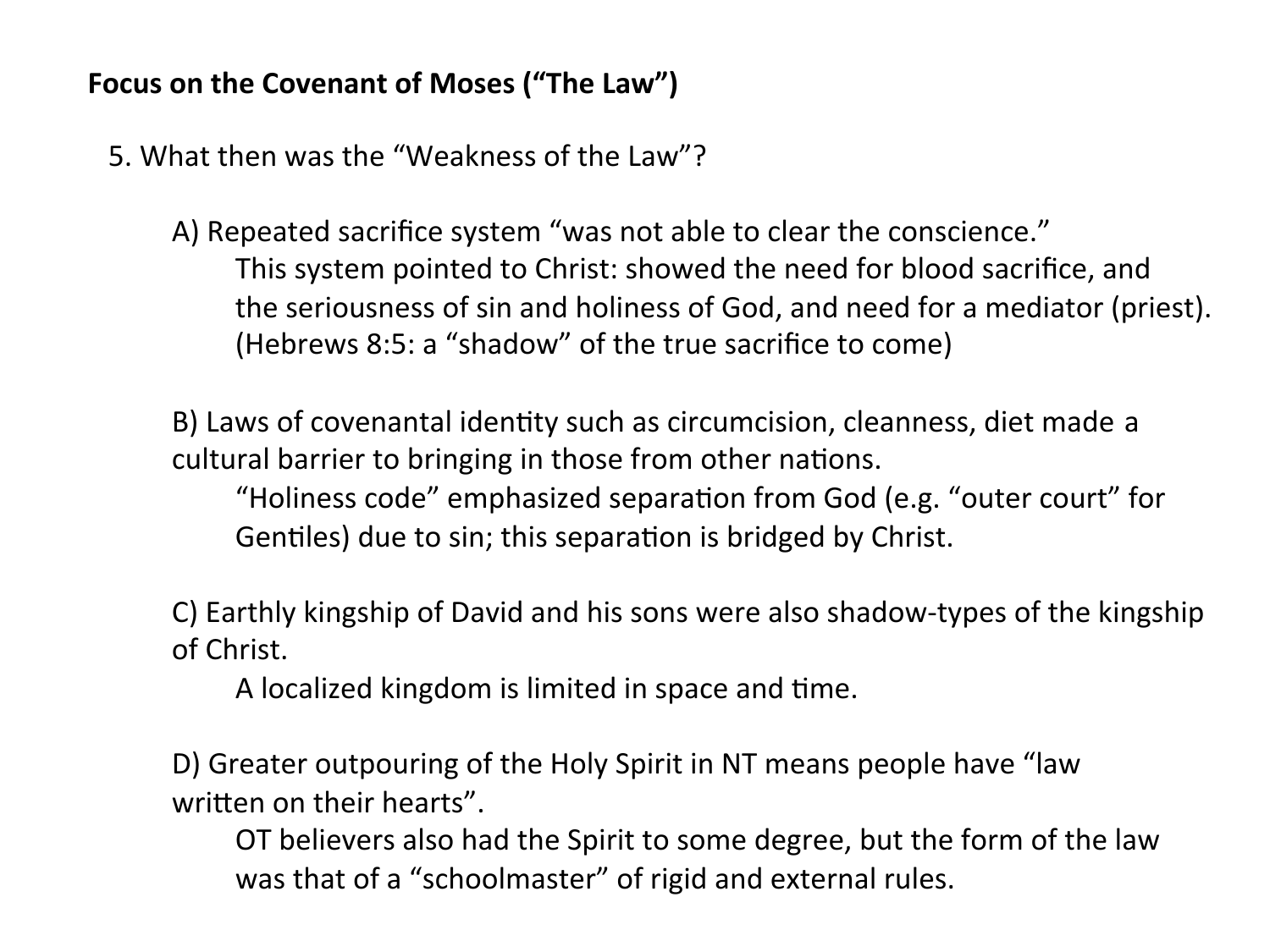5. What then was the "Weakness of the Law"?

A) Repeated sacrifice system "was not able to clear the conscience." This system pointed to Christ: showed the need for blood sacrifice, and the seriousness of sin and holiness of God, and need for a mediator (priest). (Hebrews 8:5: a "shadow" of the true sacrifice to come)

B) Laws of covenantal identity such as circumcision, cleanness, diet made a cultural barrier to bringing in those from other nations.

"Holiness code" emphasized separation from God (e.g. "outer court" for Gentiles) due to sin; this separation is bridged by Christ.

C) Earthly kingship of David and his sons were also shadow-types of the kingship of Christ.

A localized kingdom is limited in space and time.

D) Greater outpouring of the Holy Spirit in NT means people have "law written on their hearts".

OT believers also had the Spirit to some degree, but the form of the law was that of a "schoolmaster" of rigid and external rules.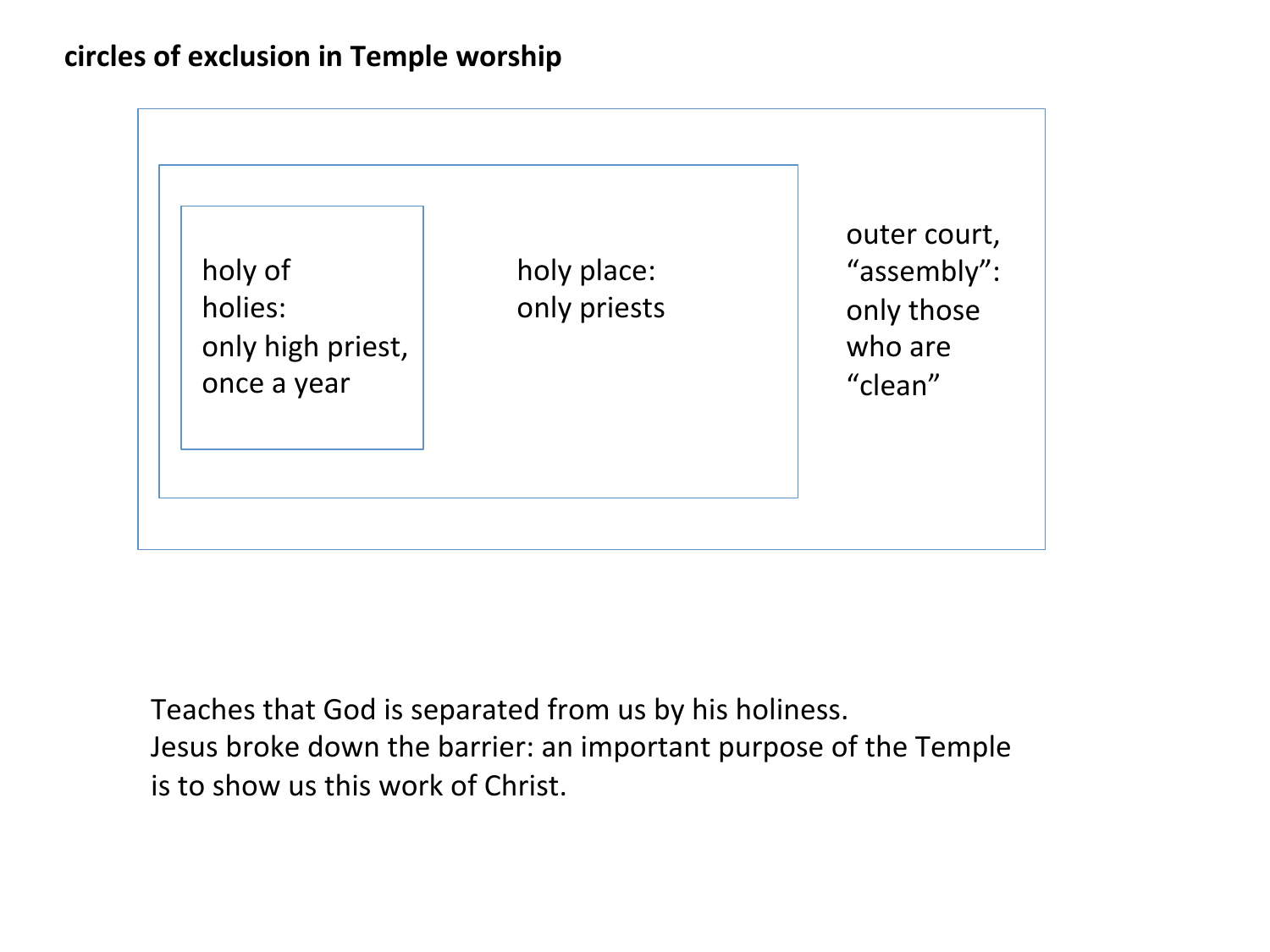### circles of exclusion in Temple worship



Teaches that God is separated from us by his holiness. Jesus broke down the barrier: an important purpose of the Temple is to show us this work of Christ.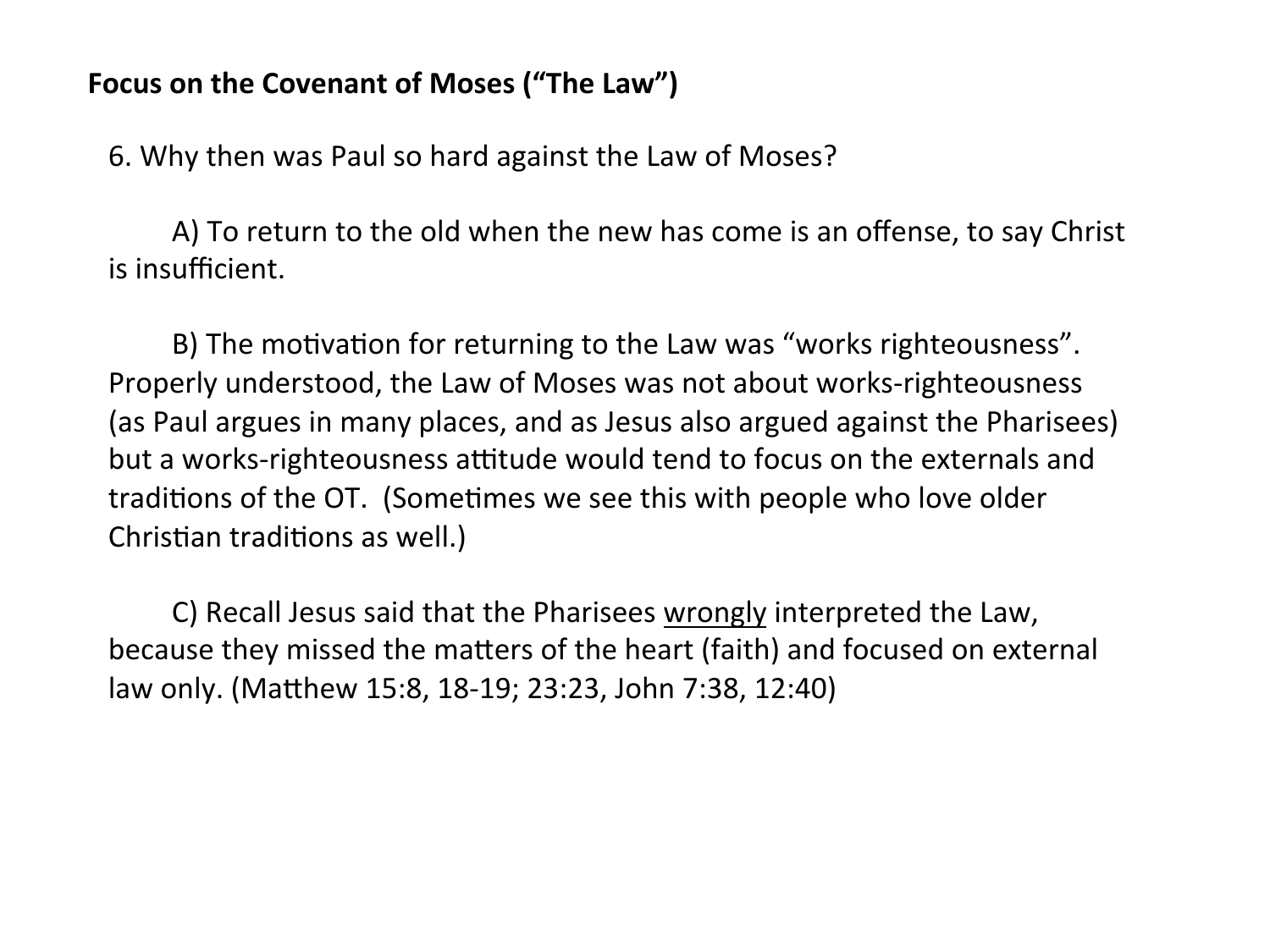6. Why then was Paul so hard against the Law of Moses?

A) To return to the old when the new has come is an offense, to say Christ is insufficient.

B) The motivation for returning to the Law was "works righteousness". Properly understood, the Law of Moses was not about works-righteousness (as Paul argues in many places, and as Jesus also argued against the Pharisees) but a works-righteousness attitude would tend to focus on the externals and traditions of the OT. (Sometimes we see this with people who love older Christian traditions as well.)

C) Recall Jesus said that the Pharisees wrongly interpreted the Law, because they missed the matters of the heart (faith) and focused on external law only. (Matthew 15:8, 18-19; 23:23, John 7:38, 12:40)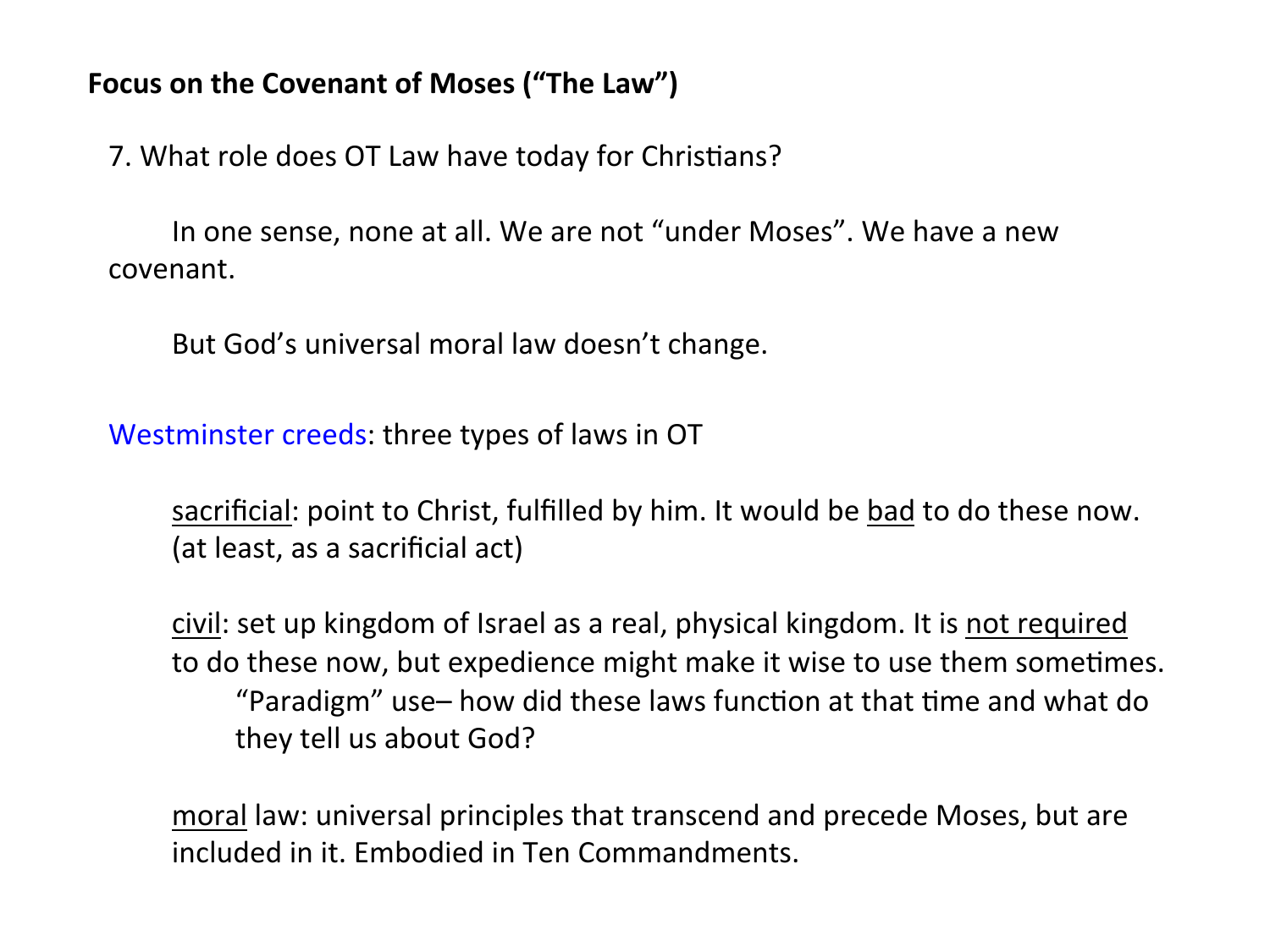7. What role does OT Law have today for Christians?

In one sense, none at all. We are not "under Moses". We have a new covenant. 

But God's universal moral law doesn't change.

Westminster creeds: three types of laws in OT

sacrificial: point to Christ, fulfilled by him. It would be bad to do these now. (at least, as a sacrificial act)

civil: set up kingdom of Israel as a real, physical kingdom. It is not required to do these now, but expedience might make it wise to use them sometimes. "Paradigm" use– how did these laws function at that time and what do they tell us about God?

moral law: universal principles that transcend and precede Moses, but are included in it. Embodied in Ten Commandments.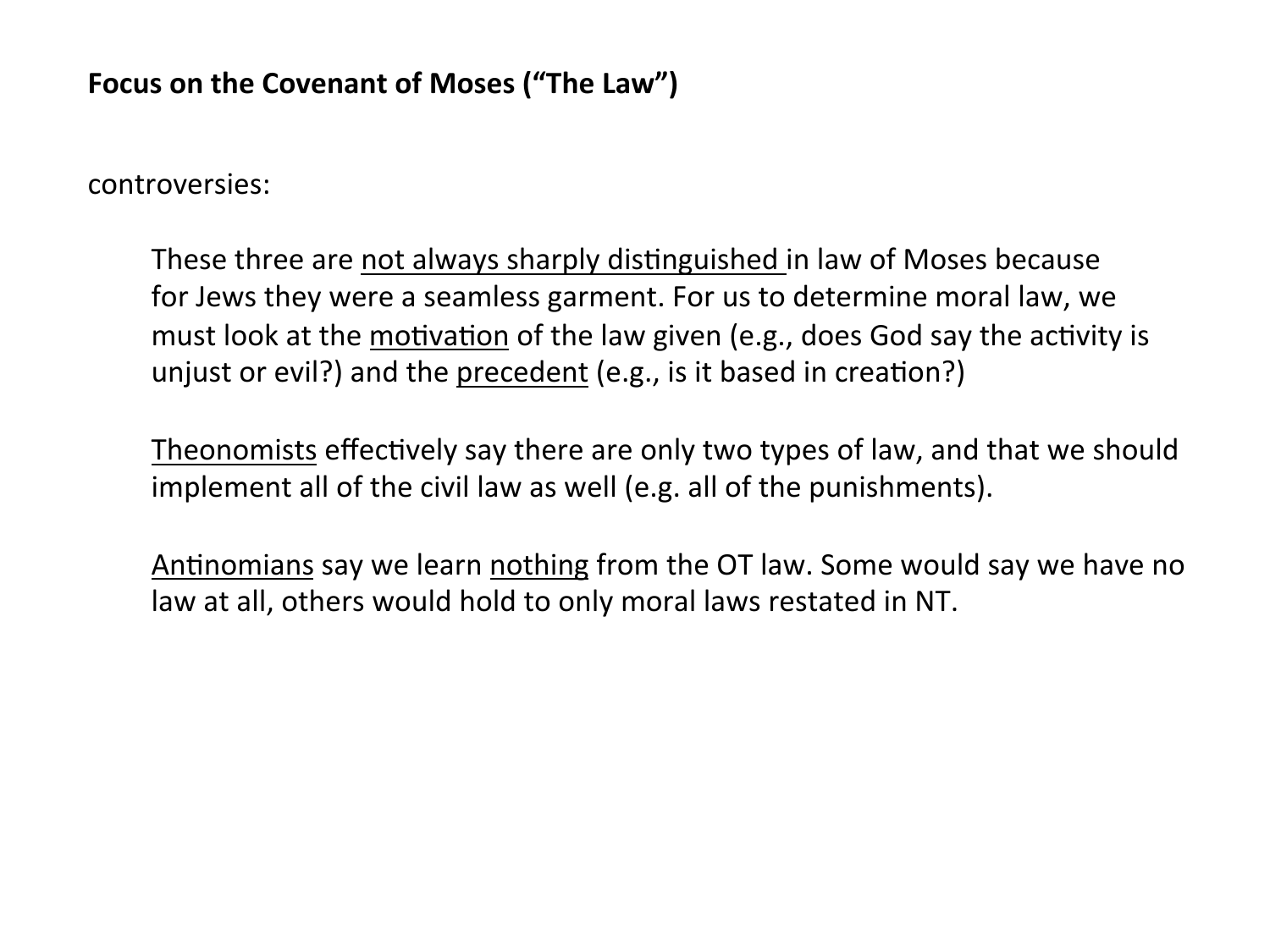controversies: 

These three are not always sharply distinguished in law of Moses because for Jews they were a seamless garment. For us to determine moral law, we must look at the motivation of the law given (e.g., does God say the activity is unjust or evil?) and the precedent  $(e.g.,$  is it based in creation?)

<u>Theonomists</u> effectively say there are only two types of law, and that we should implement all of the civil law as well (e.g. all of the punishments).

Antinomians say we learn nothing from the OT law. Some would say we have no law at all, others would hold to only moral laws restated in NT.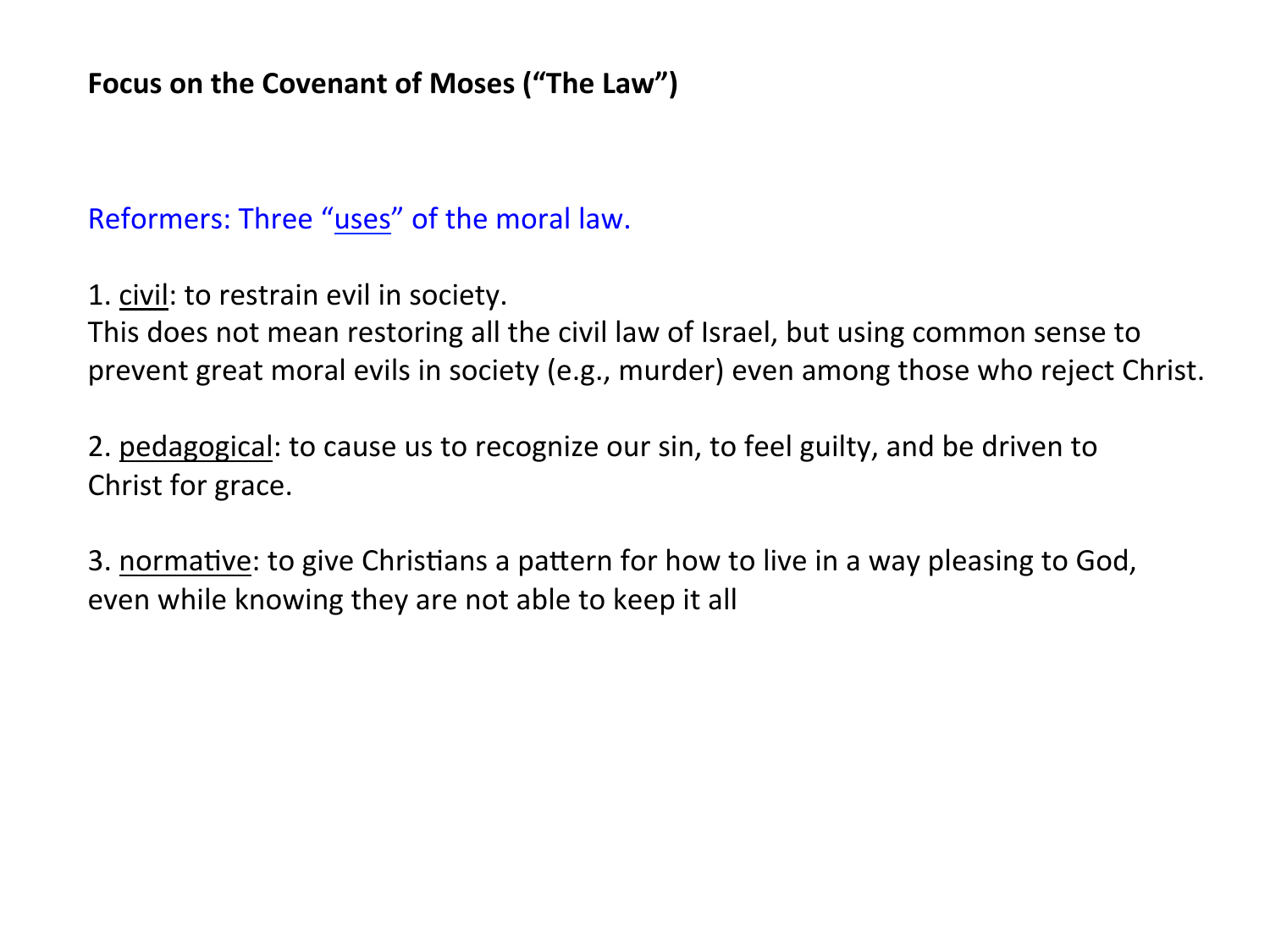Reformers: Three "uses" of the moral law.

1. civil: to restrain evil in society.

This does not mean restoring all the civil law of Israel, but using common sense to prevent great moral evils in society (e.g., murder) even among those who reject Christ.

2. pedagogical: to cause us to recognize our sin, to feel guilty, and be driven to Christ for grace.

3. normative: to give Christians a pattern for how to live in a way pleasing to God, even while knowing they are not able to keep it all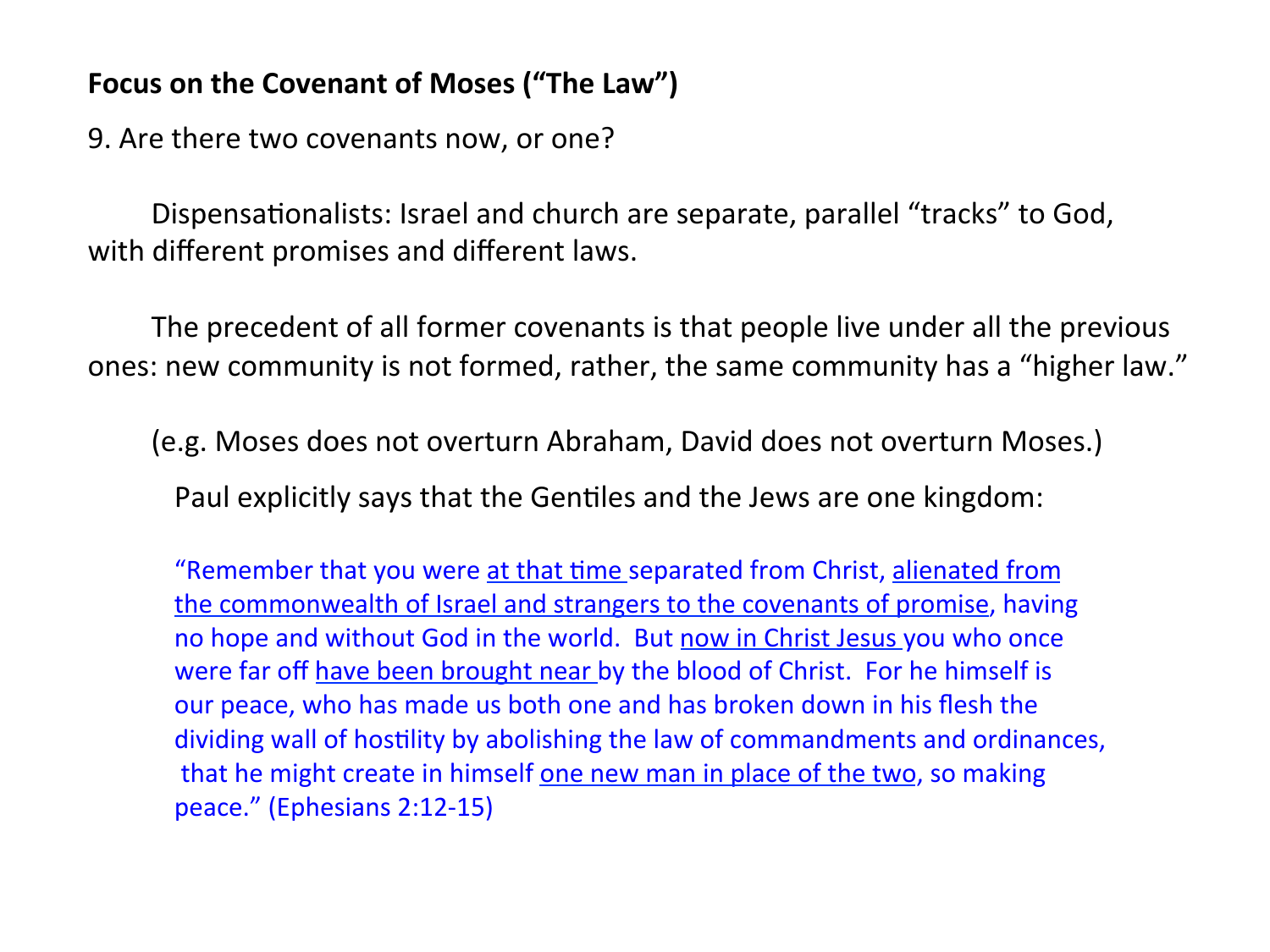9. Are there two covenants now, or one?

Dispensationalists: Israel and church are separate, parallel "tracks" to God, with different promises and different laws.

The precedent of all former covenants is that people live under all the previous ones: new community is not formed, rather, the same community has a "higher law."

(e.g. Moses does not overturn Abraham, David does not overturn Moses.)

Paul explicitly says that the Gentiles and the Jews are one kingdom:

"Remember that you were at that time separated from Christ, alienated from the commonwealth of Israel and strangers to the covenants of promise, having no hope and without God in the world. But now in Christ Jesus you who once were far off have been brought near by the blood of Christ. For he himself is our peace, who has made us both one and has broken down in his flesh the dividing wall of hostility by abolishing the law of commandments and ordinances, that he might create in himself one new man in place of the two, so making peace." (Ephesians 2:12-15)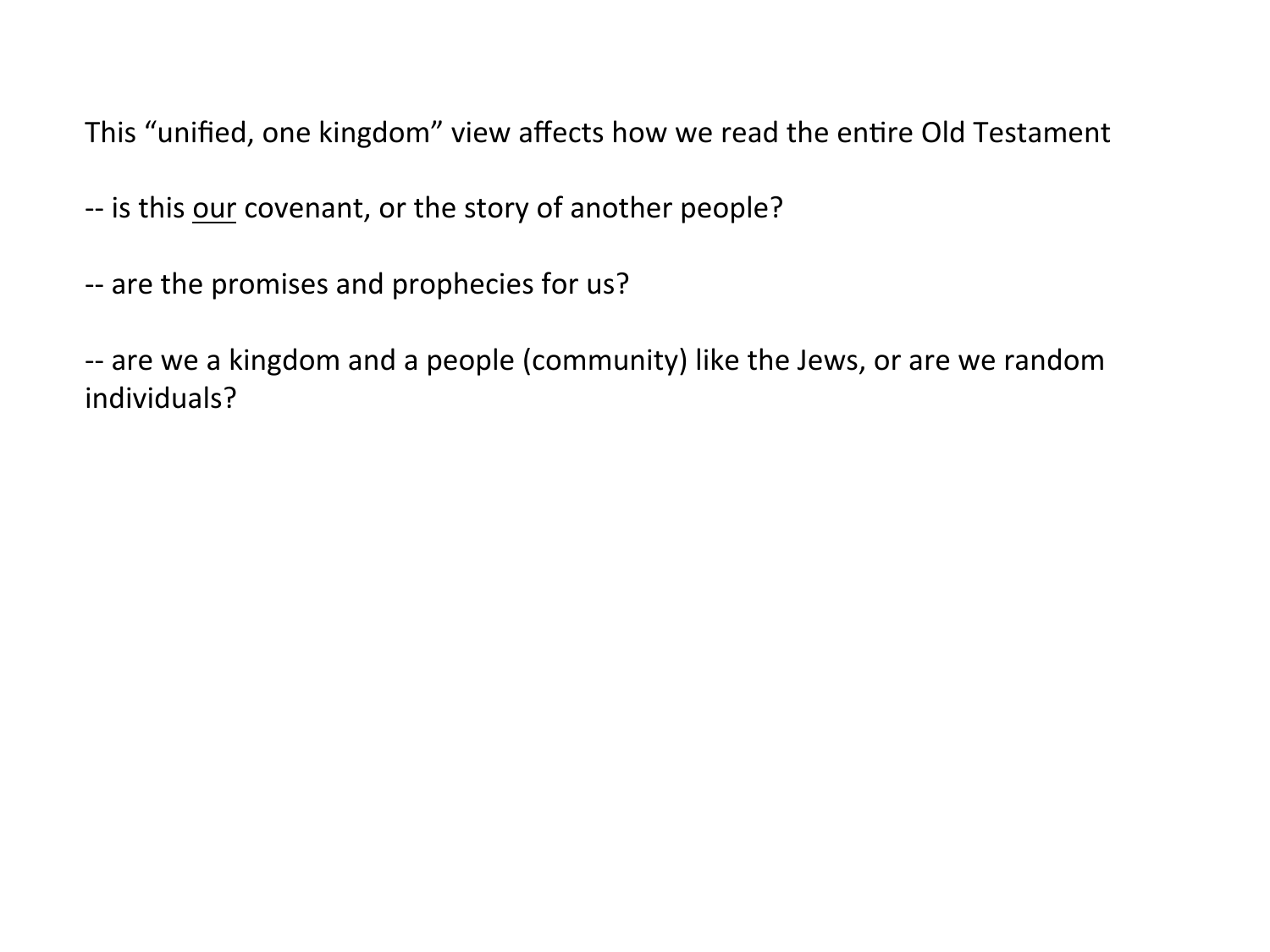This "unified, one kingdom" view affects how we read the entire Old Testament

-- is this our covenant, or the story of another people?

-- are the promises and prophecies for us?

-- are we a kingdom and a people (community) like the Jews, or are we random individuals?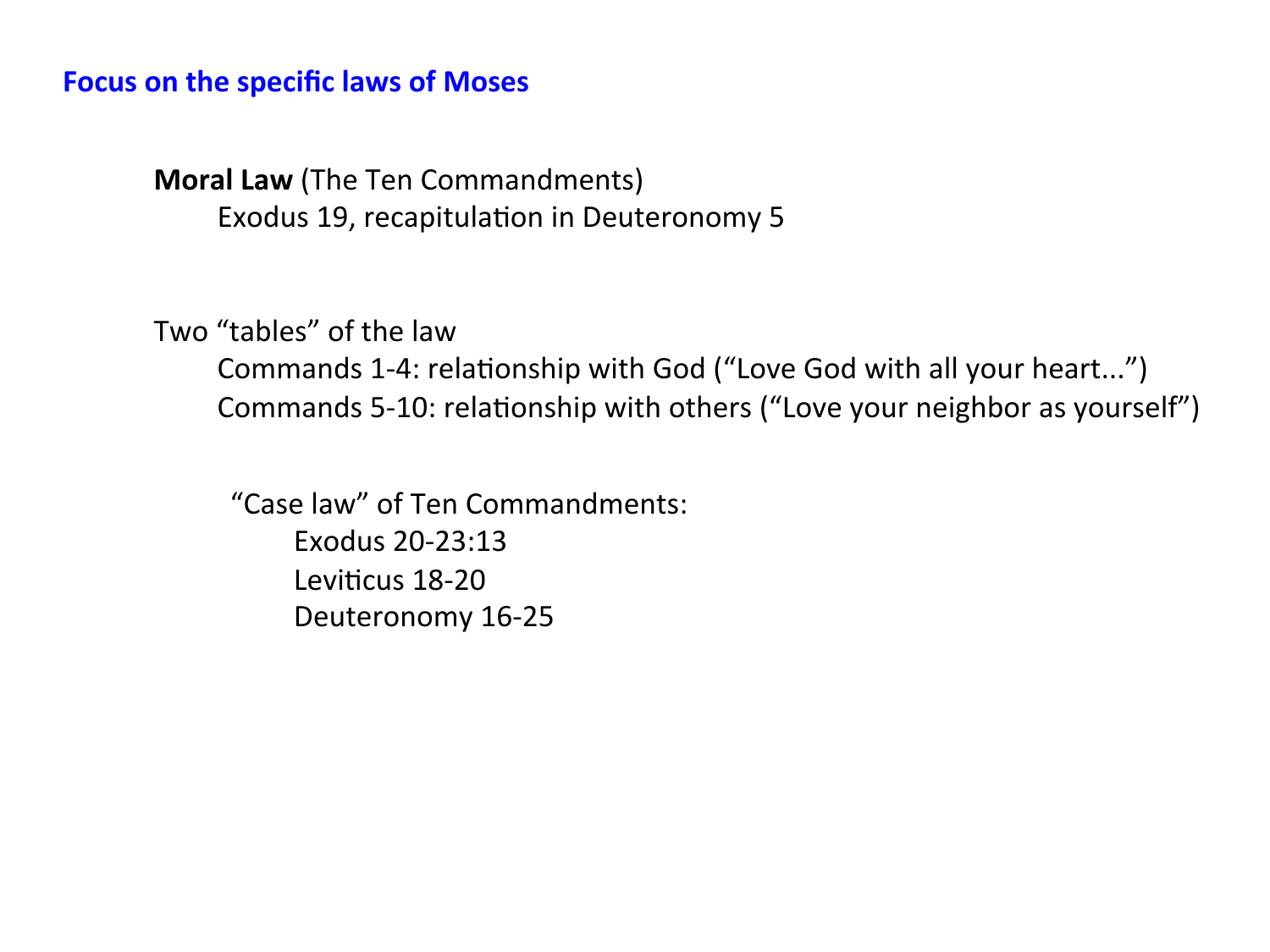#### **Focus on the specific laws of Moses**

**Moral Law** (The Ten Commandments) Exodus 19, recapitulation in Deuteronomy 5

Two "tables" of the law

Commands 1-4: relationship with God ("Love God with all your heart...") Commands 5-10: relationship with others ("Love your neighbor as yourself")

"Case law" of Ten Commandments: Exodus 20-23:13 Leviticus 18-20 Deuteronomy 16-25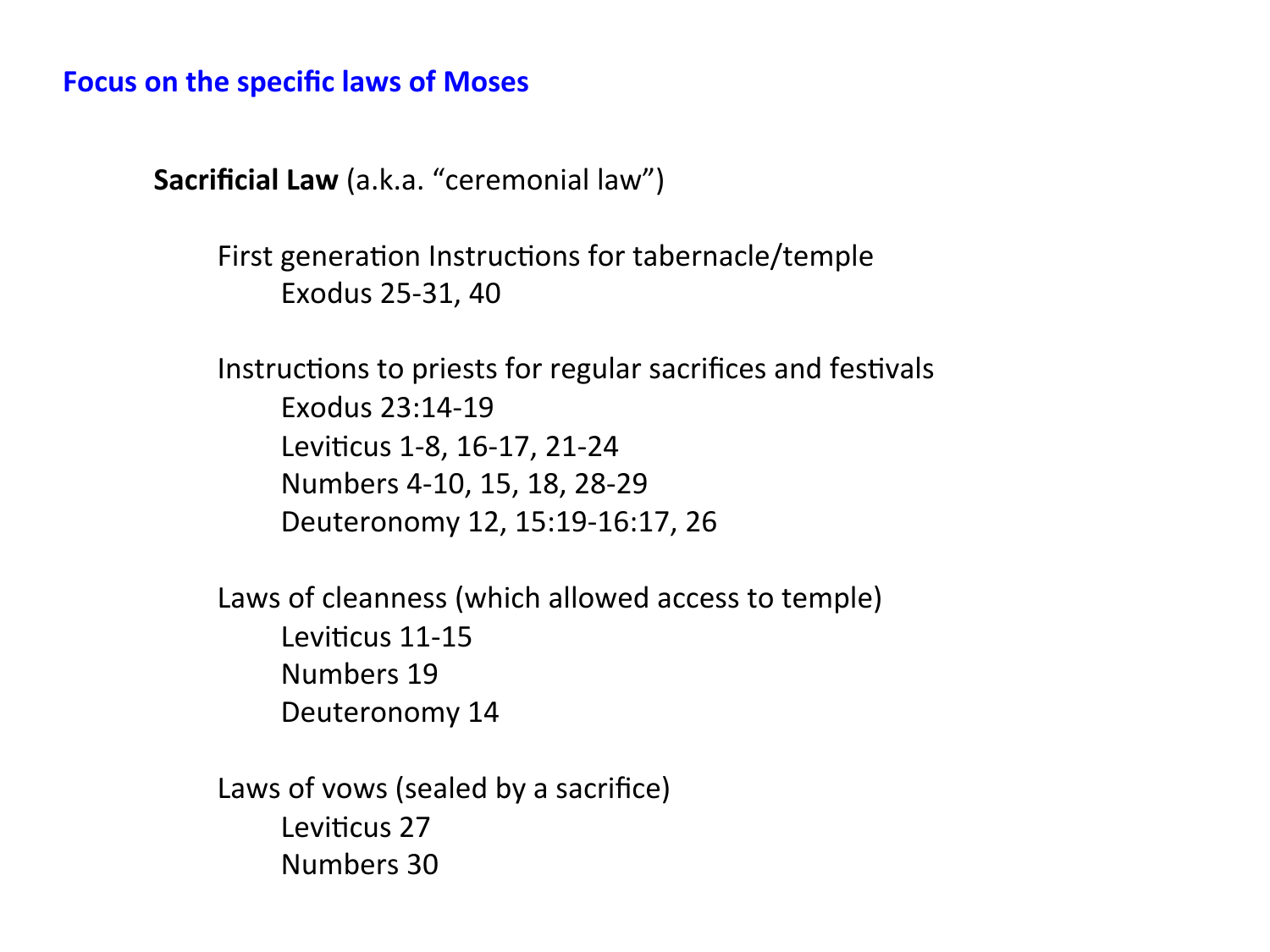#### **Focus on the specific laws of Moses**

**Sacrificial Law** (a.k.a. "ceremonial law")

First generation Instructions for tabernacle/temple Exodus 25-31, 40

Instructions to priests for regular sacrifices and festivals Exodus 23:14-19 Leviticus 1-8, 16-17, 21-24 Numbers 4-10, 15, 18, 28-29 Deuteronomy 12, 15:19-16:17, 26 

Laws of cleanness (which allowed access to temple) Leviticus 11-15 Numbers 19 Deuteronomy 14

Laws of vows (sealed by a sacrifice) Leviticus 27 Numbers 30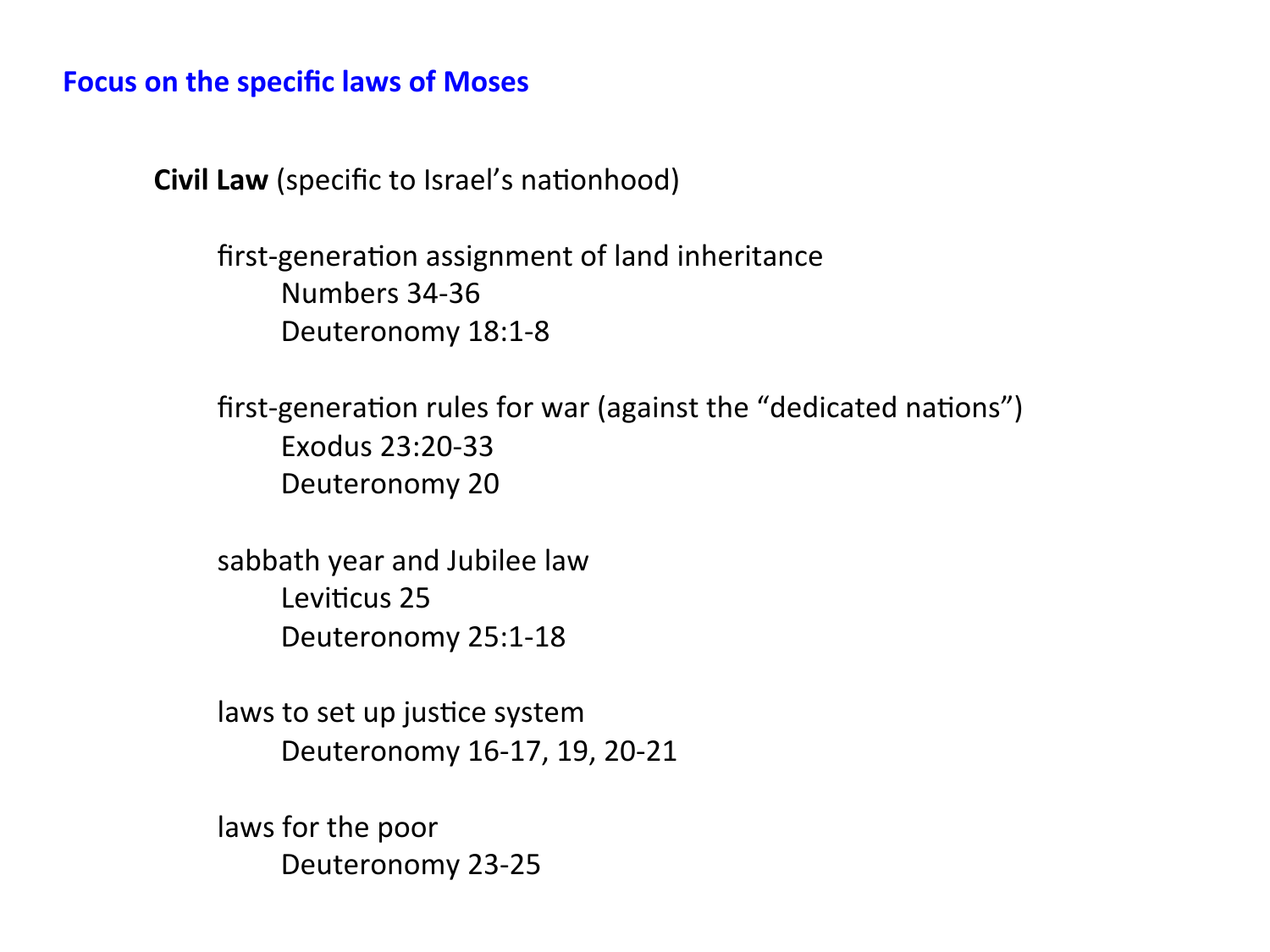#### **Focus on the specific laws of Moses**

**Civil Law** (specific to Israel's nationhood)

first-generation assignment of land inheritance Numbers 34-36 Deuteronomy 18:1-8

first-generation rules for war (against the "dedicated nations") Exodus 23:20-33 Deuteronomy 20

sabbath year and Jubilee law Leviticus 25 Deuteronomy 25:1-18 

laws to set up justice system Deuteronomy 16-17, 19, 20-21

laws for the poor Deuteronomy 23-25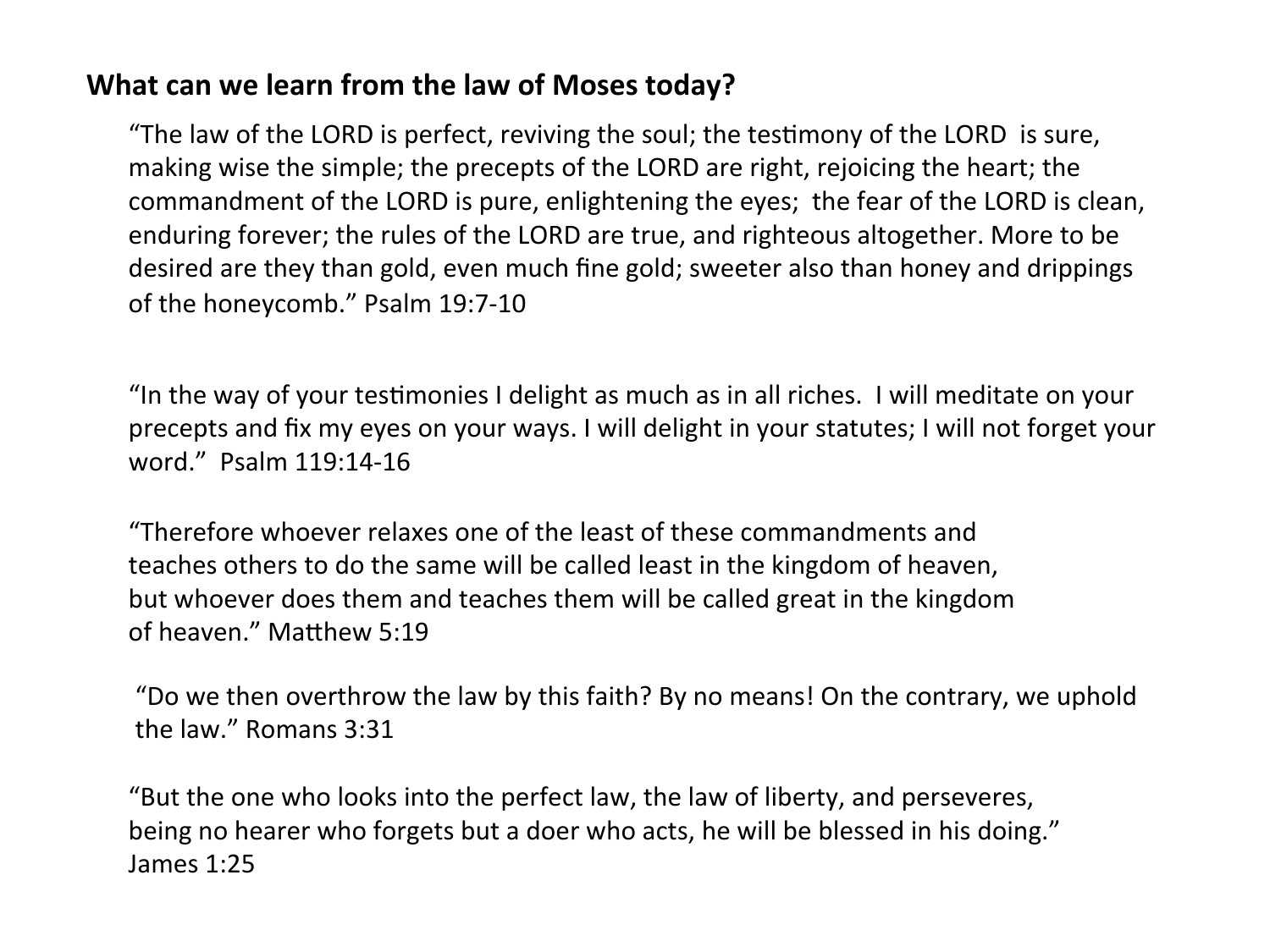## **What can we learn from the law of Moses today?**

"The law of the LORD is perfect, reviving the soul; the testimony of the LORD is sure, making wise the simple; the precepts of the LORD are right, rejoicing the heart; the commandment of the LORD is pure, enlightening the eyes; the fear of the LORD is clean, enduring forever; the rules of the LORD are true, and righteous altogether. More to be desired are they than gold, even much fine gold; sweeter also than honey and drippings of the honeycomb." Psalm 19:7-10

"In the way of your testimonies I delight as much as in all riches. I will meditate on your precepts and fix my eyes on your ways. I will delight in your statutes; I will not forget your word." Psalm 119:14-16

"Therefore whoever relaxes one of the least of these commandments and teaches others to do the same will be called least in the kingdom of heaven, but whoever does them and teaches them will be called great in the kingdom of heaven." Matthew 5:19

"Do we then overthrow the law by this faith? By no means! On the contrary, we uphold the law." Romans 3:31

"But the one who looks into the perfect law, the law of liberty, and perseveres, being no hearer who forgets but a doer who acts, he will be blessed in his doing." James 1:25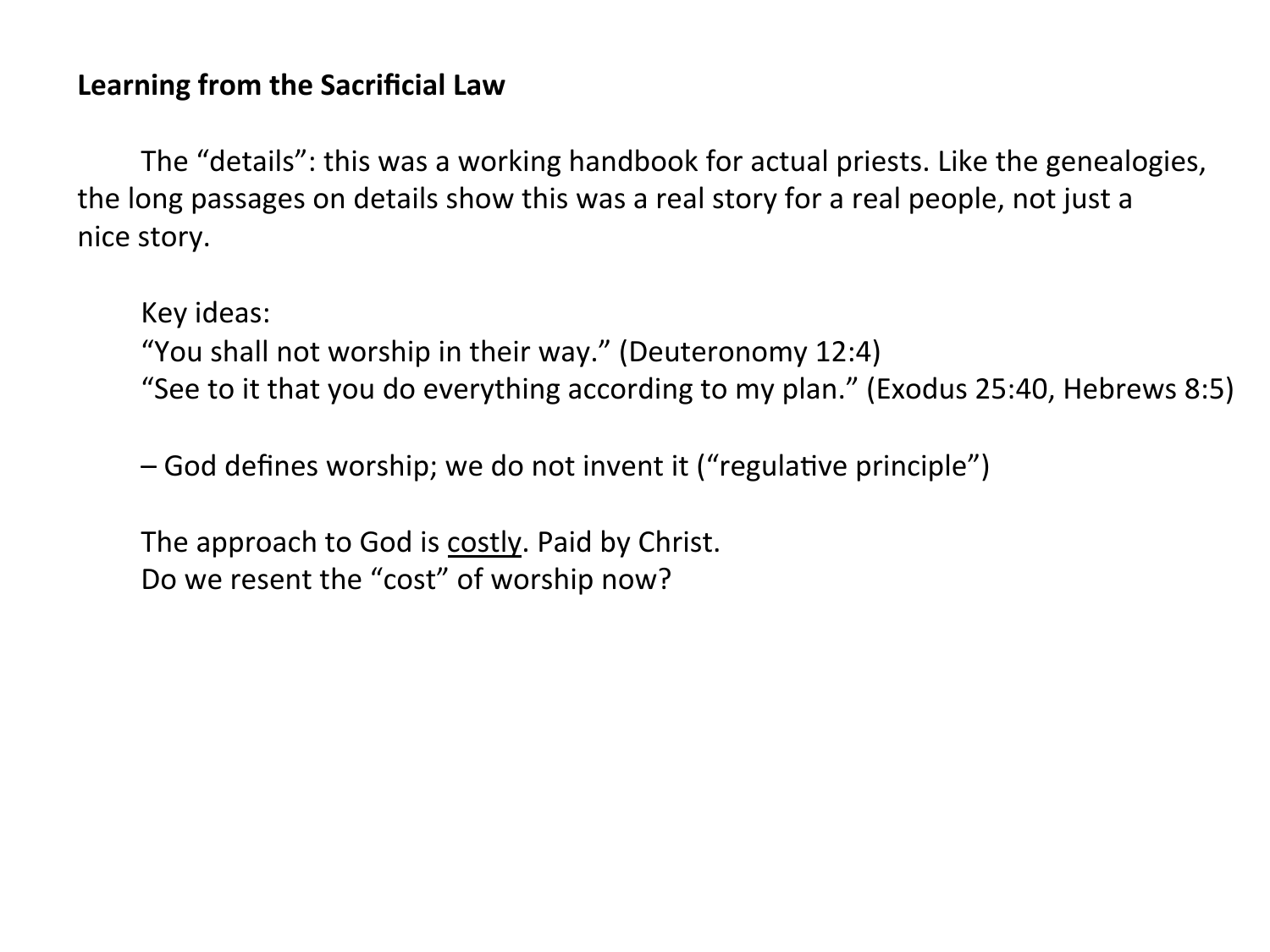## **Learning from the Sacrificial Law**

The "details": this was a working handbook for actual priests. Like the genealogies, the long passages on details show this was a real story for a real people, not just a nice story.

Key ideas: "You shall not worship in their way." (Deuteronomy  $12:4$ ) "See to it that you do everything according to my plan." (Exodus 25:40, Hebrews 8:5)

 $-$  God defines worship; we do not invent it ("regulative principle")

The approach to God is costly. Paid by Christ. Do we resent the "cost" of worship now?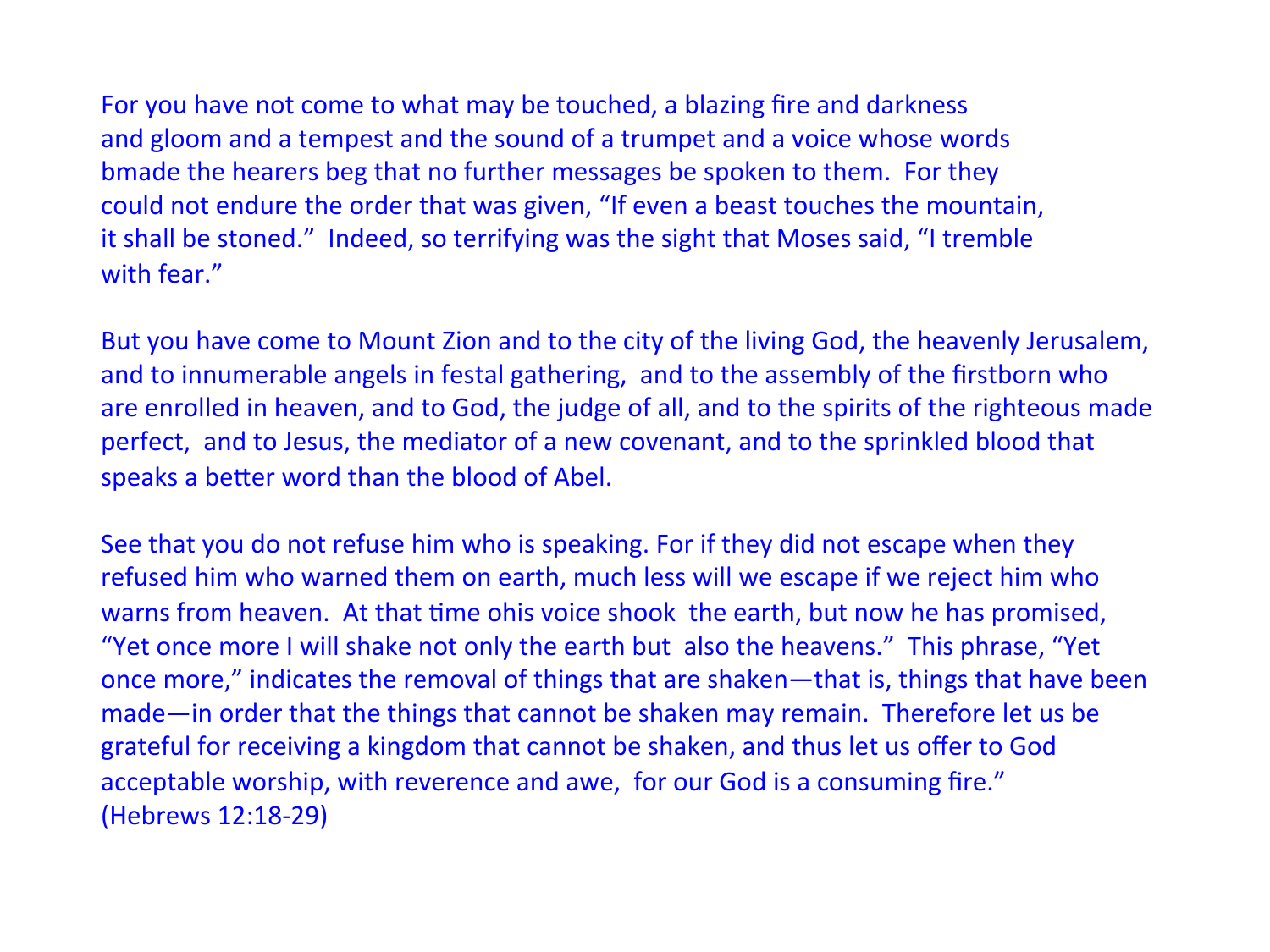For you have not come to what may be touched, a blazing fire and darkness and gloom and a tempest and the sound of a trumpet and a voice whose words bmade the hearers beg that no further messages be spoken to them. For they could not endure the order that was given, "If even a beast touches the mountain, it shall be stoned." Indeed, so terrifying was the sight that Moses said, "I tremble with fear."

But you have come to Mount Zion and to the city of the living God, the heavenly Jerusalem, and to innumerable angels in festal gathering, and to the assembly of the firstborn who are enrolled in heaven, and to God, the judge of all, and to the spirits of the righteous made perfect, and to Jesus, the mediator of a new covenant, and to the sprinkled blood that speaks a better word than the blood of Abel.

See that you do not refuse him who is speaking. For if they did not escape when they refused him who warned them on earth, much less will we escape if we reject him who warns from heaven. At that time ohis voice shook the earth, but now he has promised, "Yet once more I will shake not only the earth but also the heavens." This phrase, "Yet once more," indicates the removal of things that are shaken—that is, things that have been made—in order that the things that cannot be shaken may remain. Therefore let us be grateful for receiving a kingdom that cannot be shaken, and thus let us offer to God acceptable worship, with reverence and awe, for our God is a consuming fire." (Hebrews 12:18-29)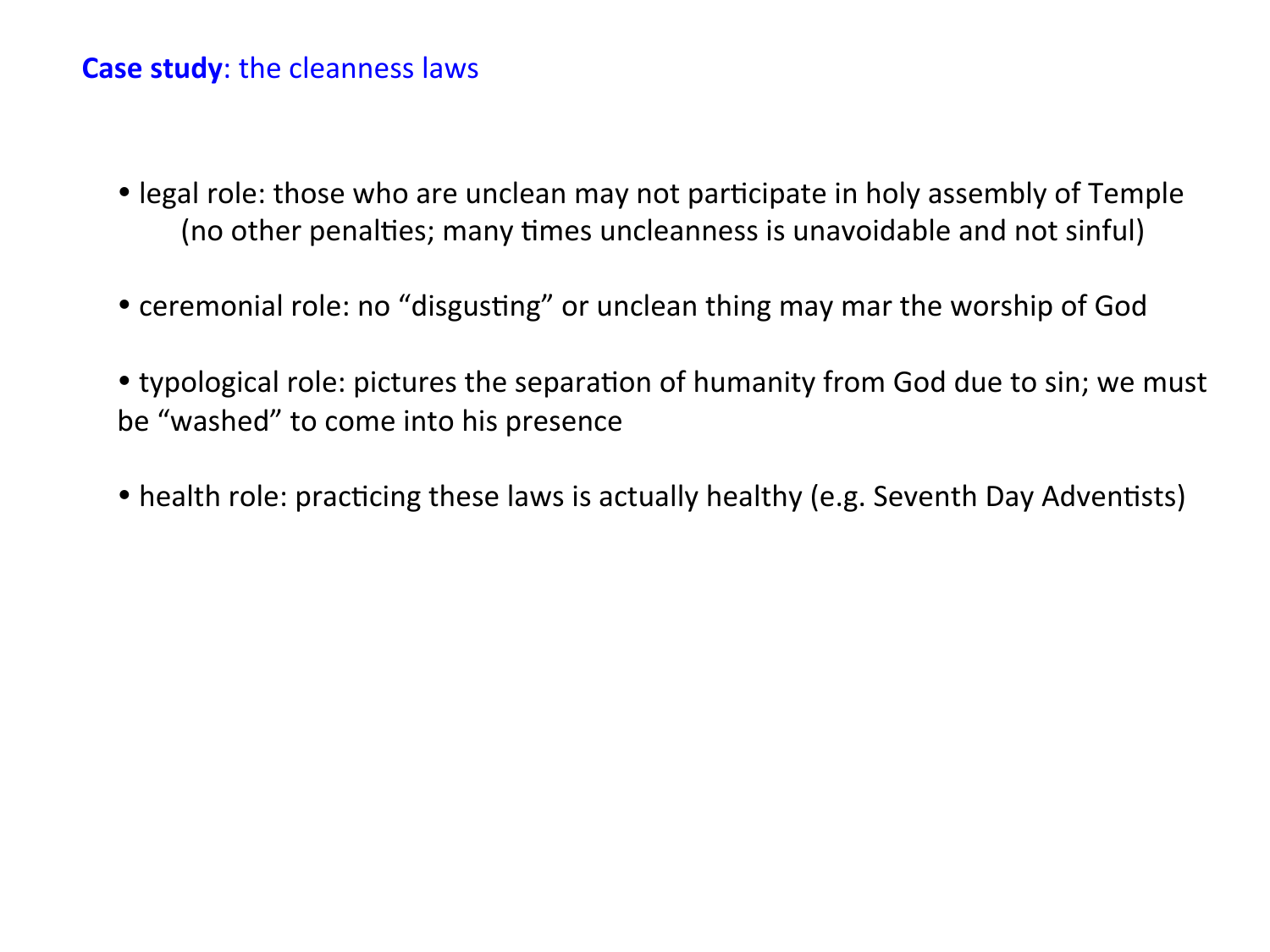#### **Case study:** the cleanness laws

- legal role: those who are unclean may not participate in holy assembly of Temple (no other penalties; many times uncleanness is unavoidable and not sinful)
- ceremonial role: no "disgusting" or unclean thing may mar the worship of God
- typological role: pictures the separation of humanity from God due to sin; we must be "washed" to come into his presence
- health role: practicing these laws is actually healthy (e.g. Seventh Day Adventists)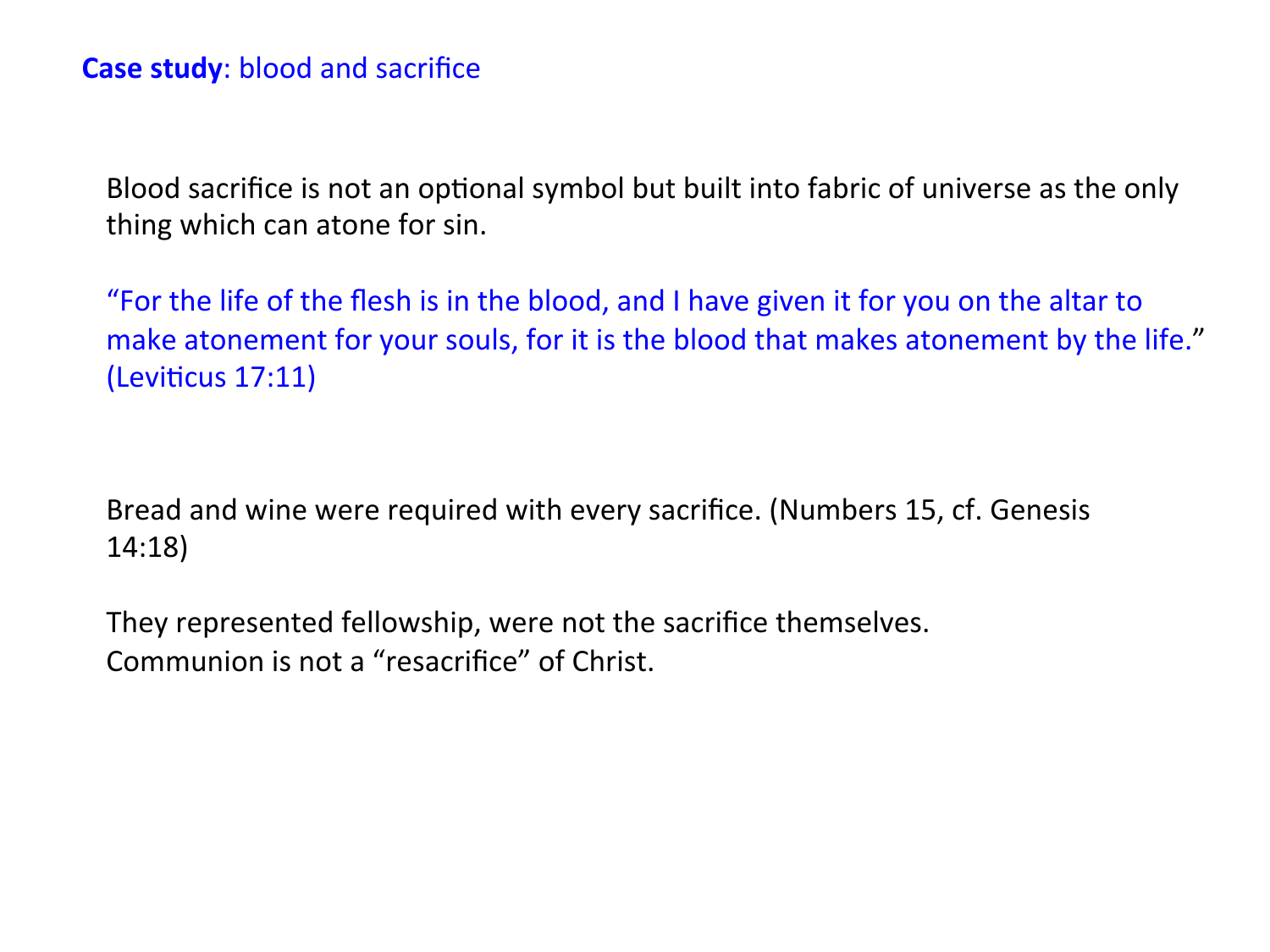Blood sacrifice is not an optional symbol but built into fabric of universe as the only thing which can atone for sin.

"For the life of the flesh is in the blood, and I have given it for you on the altar to make atonement for your souls, for it is the blood that makes atonement by the life."  $($ Leviticus 17:11 $)$ 

Bread and wine were required with every sacrifice. (Numbers 15, cf. Genesis 14:18) 

They represented fellowship, were not the sacrifice themselves. Communion is not a "resacrifice" of Christ.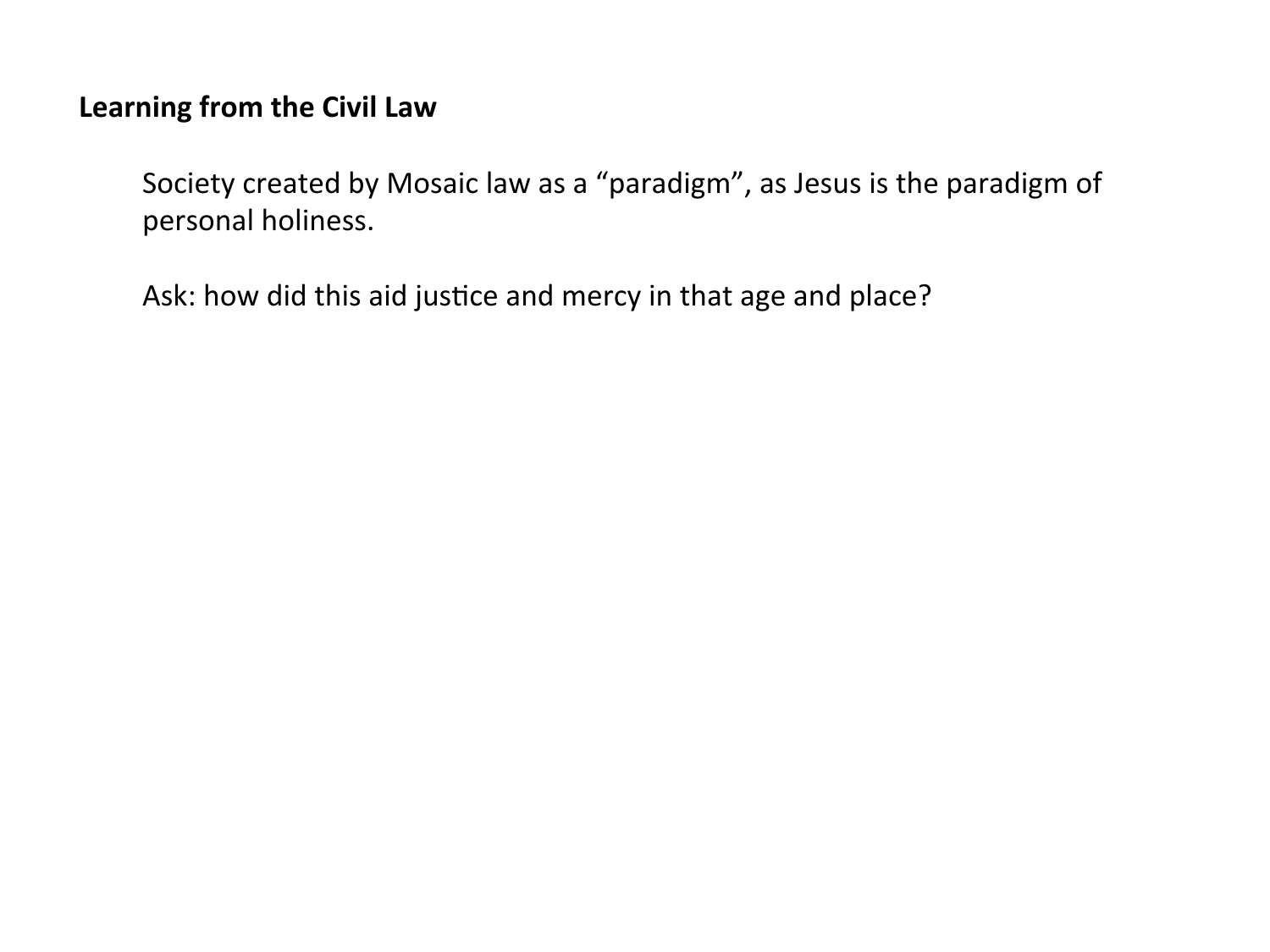## Learning from the Civil Law

Society created by Mosaic law as a "paradigm", as Jesus is the paradigm of personal holiness.

Ask: how did this aid justice and mercy in that age and place?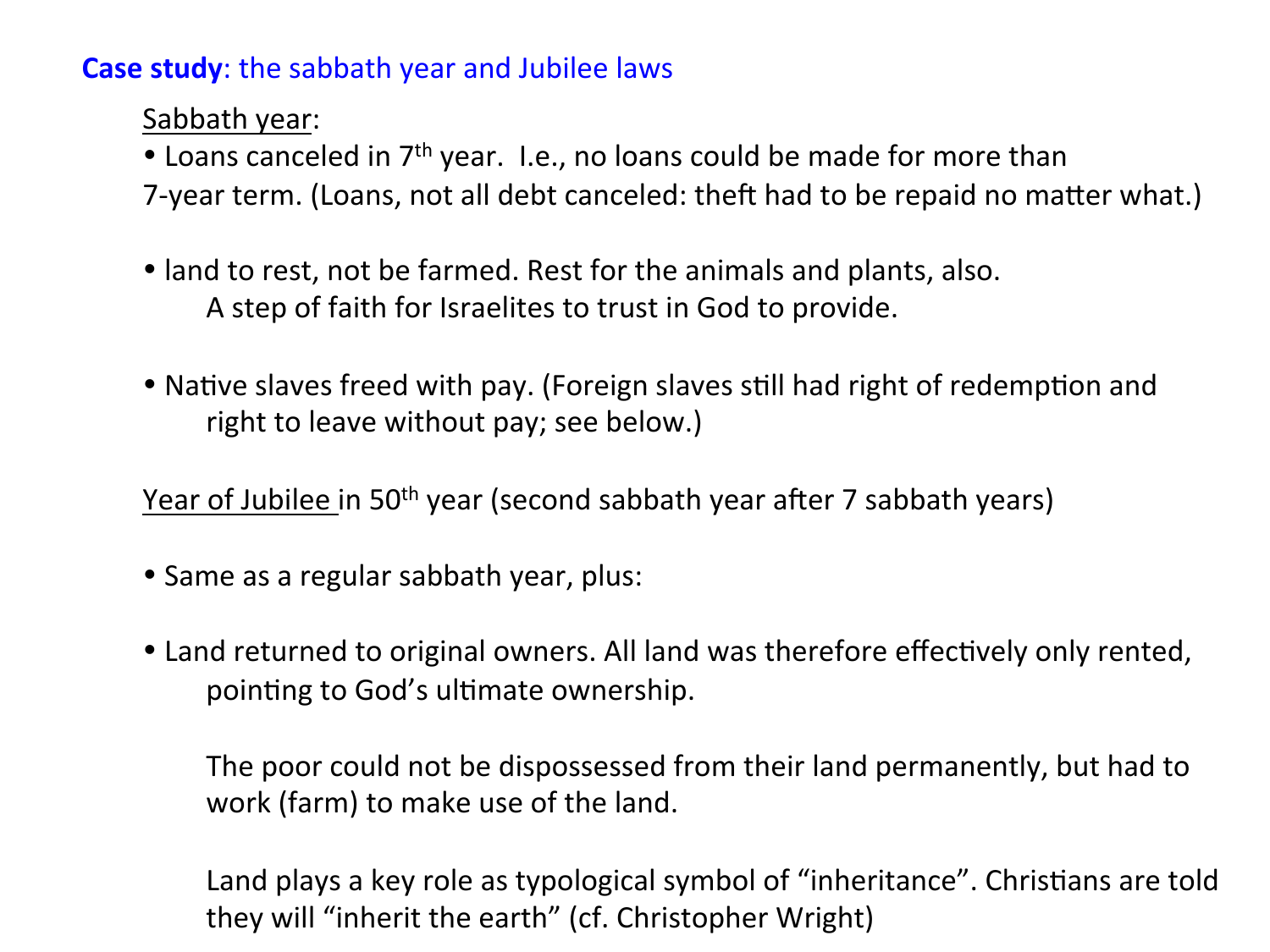**Case study:** the sabbath year and Jubilee laws

Sabbath year:

• Loans canceled in 7<sup>th</sup> year. I.e., no loans could be made for more than

- 7-year term. (Loans, not all debt canceled: theft had to be repaid no matter what.)
- land to rest, not be farmed. Rest for the animals and plants, also. A step of faith for Israelites to trust in God to provide.
- Native slaves freed with pay. (Foreign slaves still had right of redemption and right to leave without pay; see below.)

Year of Jubilee in 50<sup>th</sup> year (second sabbath year after 7 sabbath years)

- Same as a regular sabbath year, plus:
- Land returned to original owners. All land was therefore effectively only rented, pointing to God's ultimate ownership.

The poor could not be dispossessed from their land permanently, but had to work (farm) to make use of the land.

Land plays a key role as typological symbol of "inheritance". Christians are told they will "inherit the earth" (cf. Christopher Wright)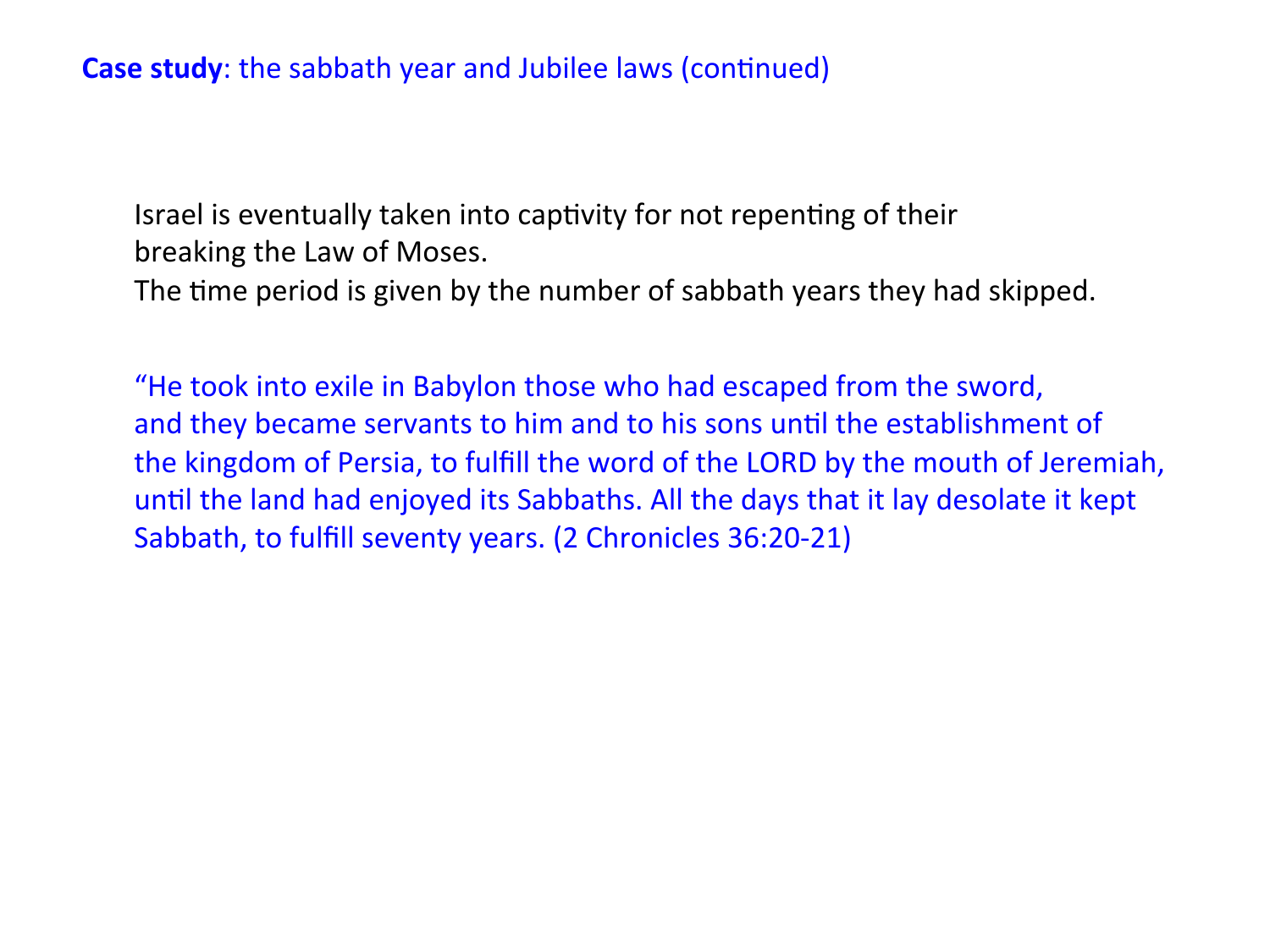Israel is eventually taken into captivity for not repenting of their breaking the Law of Moses.

The time period is given by the number of sabbath years they had skipped.

"He took into exile in Babylon those who had escaped from the sword, and they became servants to him and to his sons until the establishment of the kingdom of Persia, to fulfill the word of the LORD by the mouth of Jeremiah, until the land had enjoyed its Sabbaths. All the days that it lay desolate it kept Sabbath, to fulfill seventy years. (2 Chronicles 36:20-21)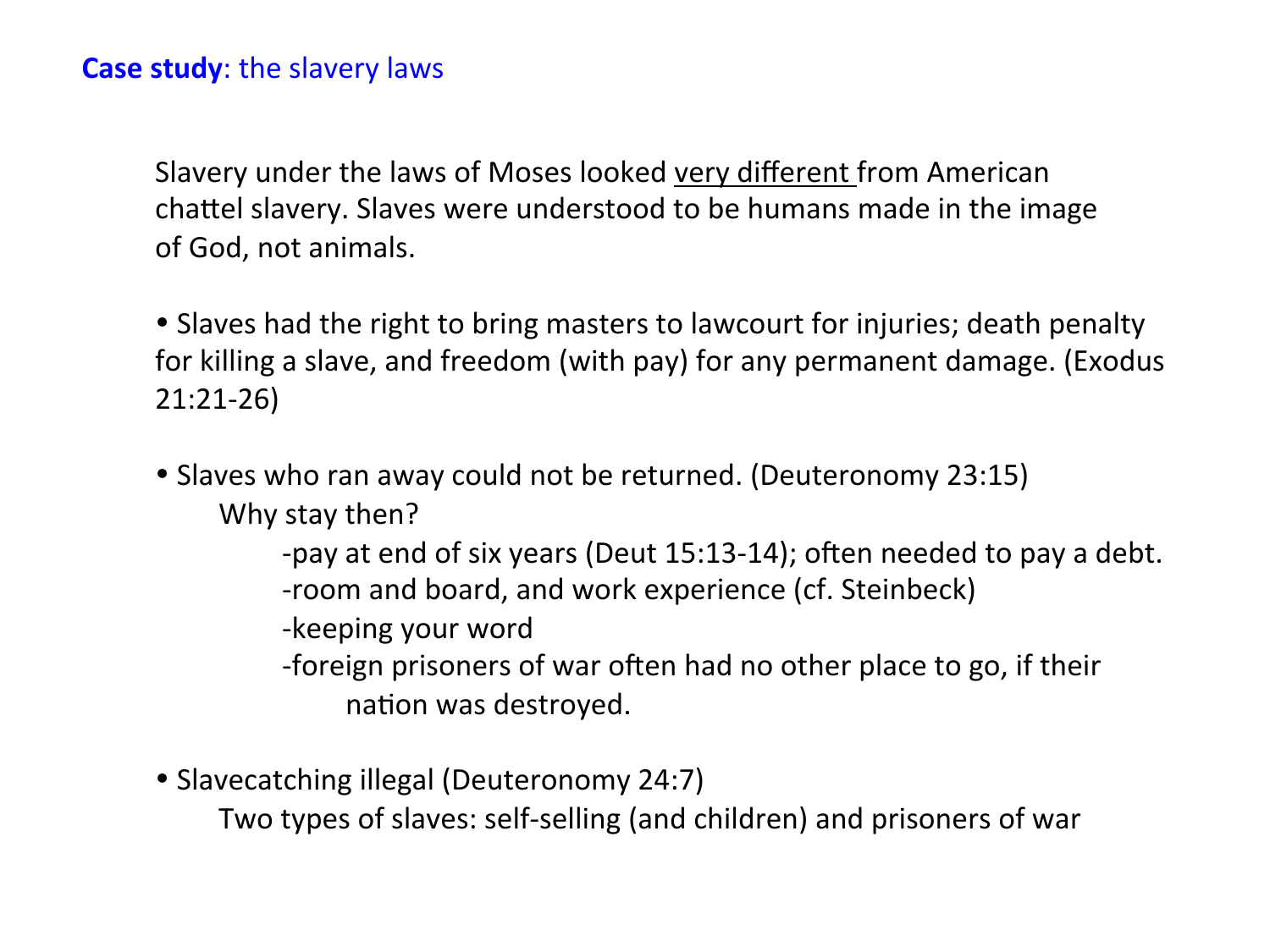#### **Case study:** the slavery laws

Slavery under the laws of Moses looked very different from American chattel slavery. Slaves were understood to be humans made in the image of God, not animals.

• Slaves had the right to bring masters to lawcourt for injuries; death penalty for killing a slave, and freedom (with pay) for any permanent damage. (Exodus 21:21-26) 

• Slaves who ran away could not be returned. (Deuteronomy 23:15) Why stay then?

> -pay at end of six years (Deut 15:13-14); often needed to pay a debt. -room and board, and work experience (cf. Steinbeck)

-keeping your word

-foreign prisoners of war often had no other place to go, if their nation was destroyed.

• Slavecatching illegal (Deuteronomy 24:7)

Two types of slaves: self-selling (and children) and prisoners of war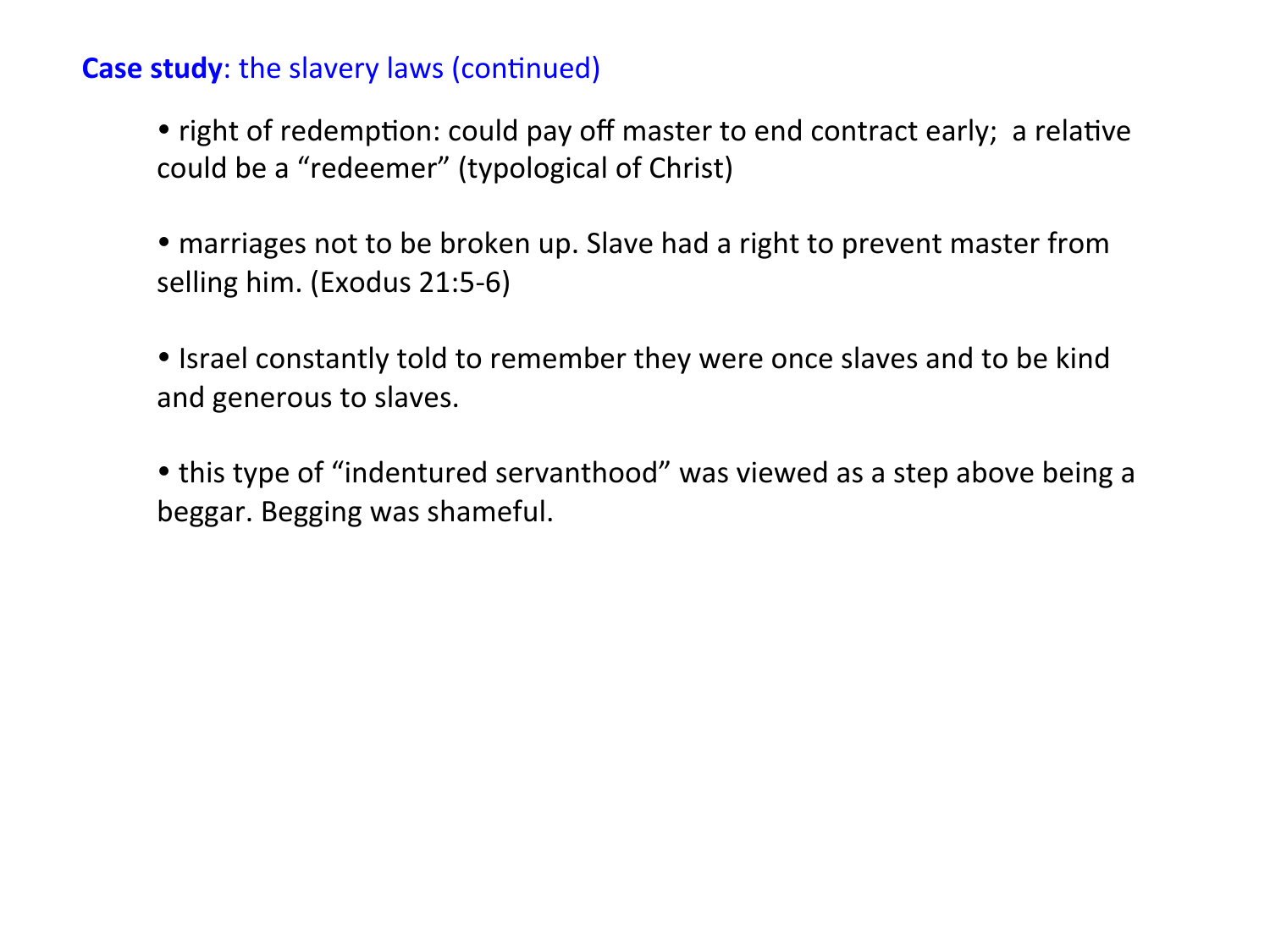### **Case study:** the slavery laws (continued)

• right of redemption: could pay off master to end contract early; a relative could be a "redeemer" (typological of Christ)

• marriages not to be broken up. Slave had a right to prevent master from selling him. (Exodus 21:5-6)

• Israel constantly told to remember they were once slaves and to be kind and generous to slaves.

• this type of "indentured servanthood" was viewed as a step above being a beggar. Begging was shameful.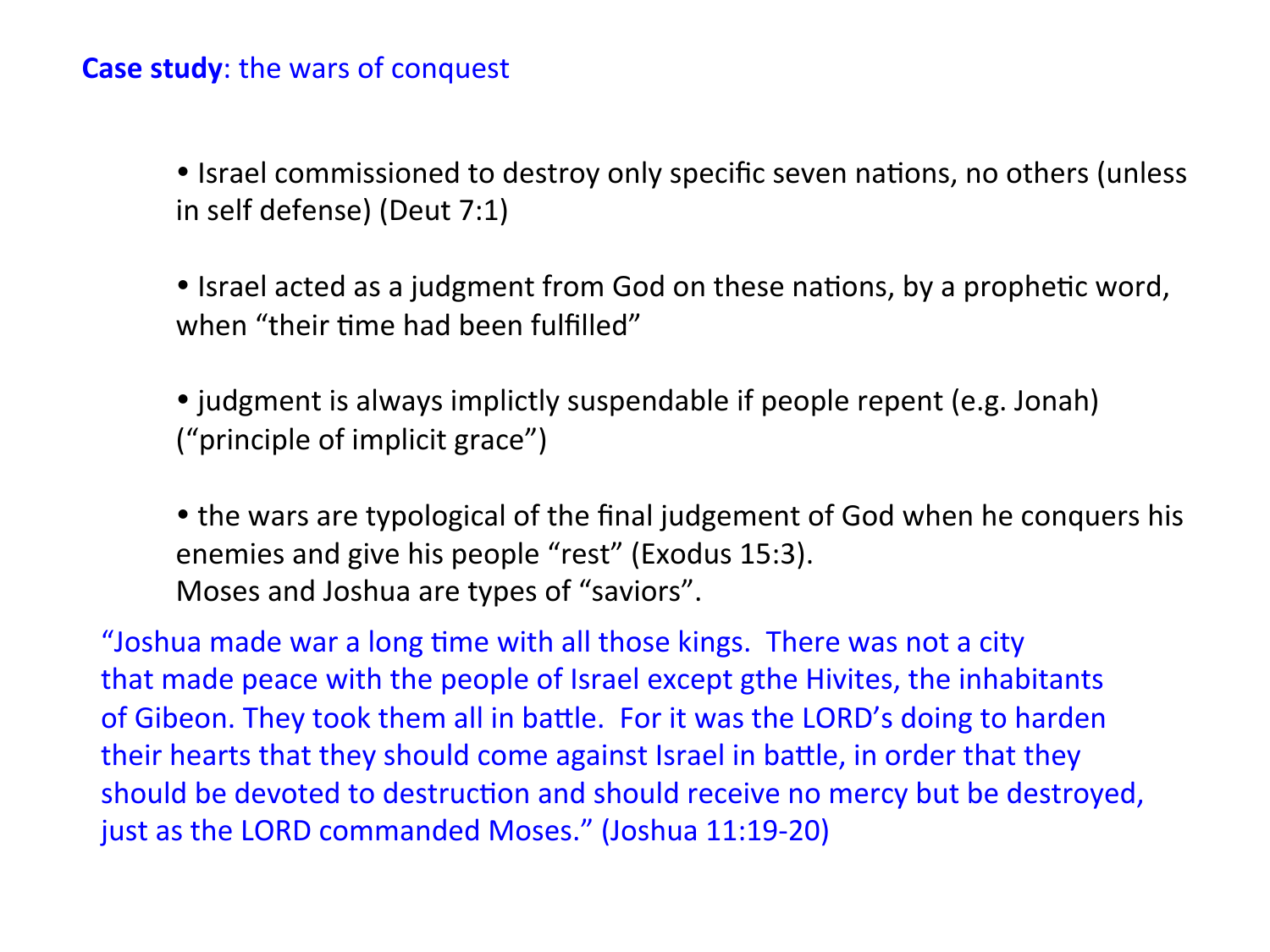### **Case study:** the wars of conquest

• Israel commissioned to destroy only specific seven nations, no others (unless in self defense) (Deut 7:1)

• Israel acted as a judgment from God on these nations, by a prophetic word, when "their time had been fulfilled"

• judgment is always implictly suspendable if people repent (e.g. Jonah) ("principle of implicit grace")

• the wars are typological of the final judgement of God when he conquers his enemies and give his people "rest" (Exodus 15:3). Moses and Joshua are types of "saviors".

"Joshua made war a long time with all those kings. There was not a city that made peace with the people of Israel except gthe Hivites, the inhabitants of Gibeon. They took them all in battle. For it was the LORD's doing to harden their hearts that they should come against Israel in battle, in order that they should be devoted to destruction and should receive no mercy but be destroyed, just as the LORD commanded Moses." (Joshua 11:19-20)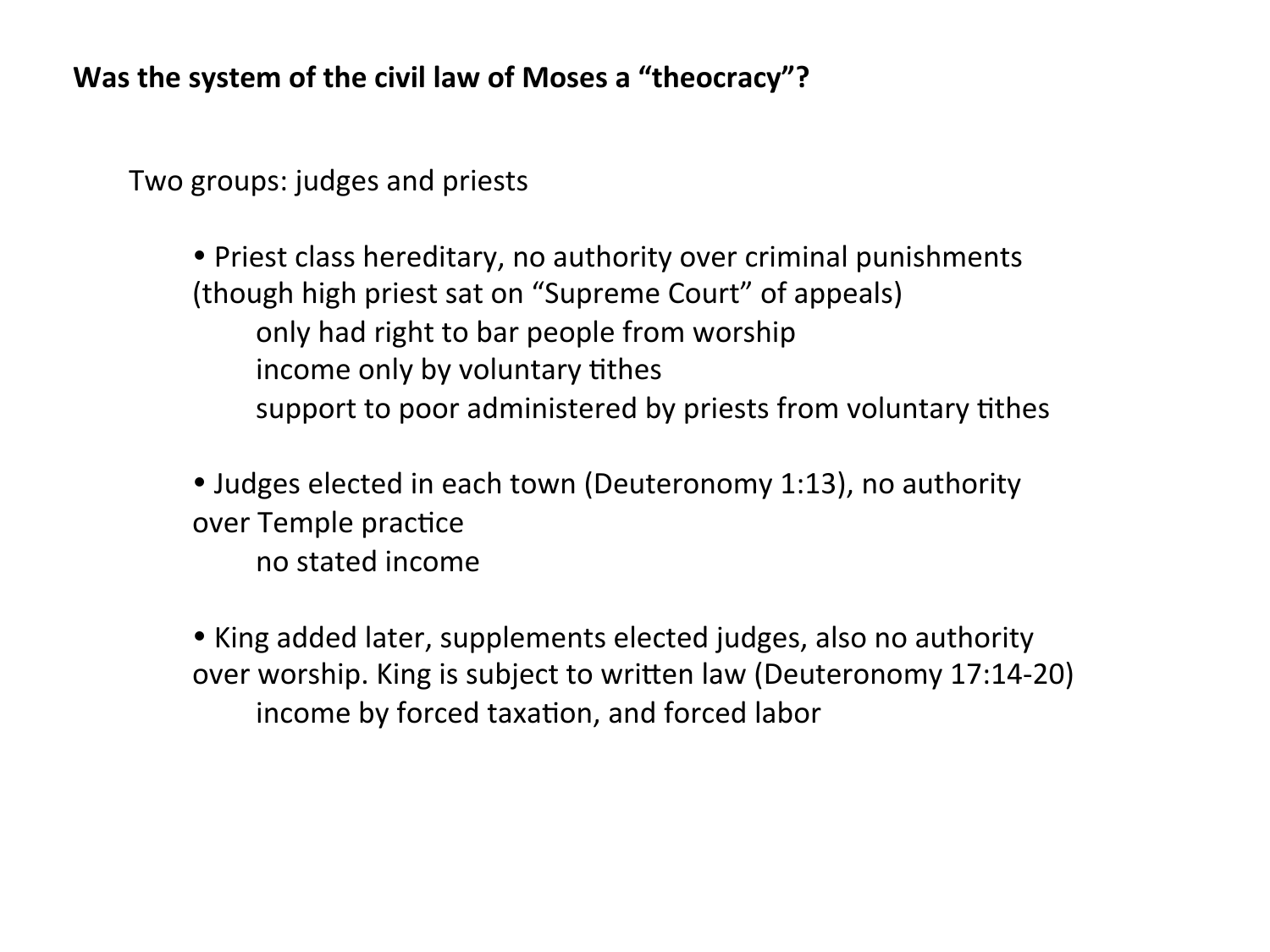**Was the system of the civil law of Moses a "theocracy"?** 

Two groups: judges and priests

• Priest class hereditary, no authority over criminal punishments (though high priest sat on "Supreme Court" of appeals) only had right to bar people from worship income only by voluntary tithes support to poor administered by priests from voluntary tithes

• Judges elected in each town (Deuteronomy 1:13), no authority over Temple practice no stated income 

• King added later, supplements elected judges, also no authority over worship. King is subject to written law (Deuteronomy 17:14-20) income by forced taxation, and forced labor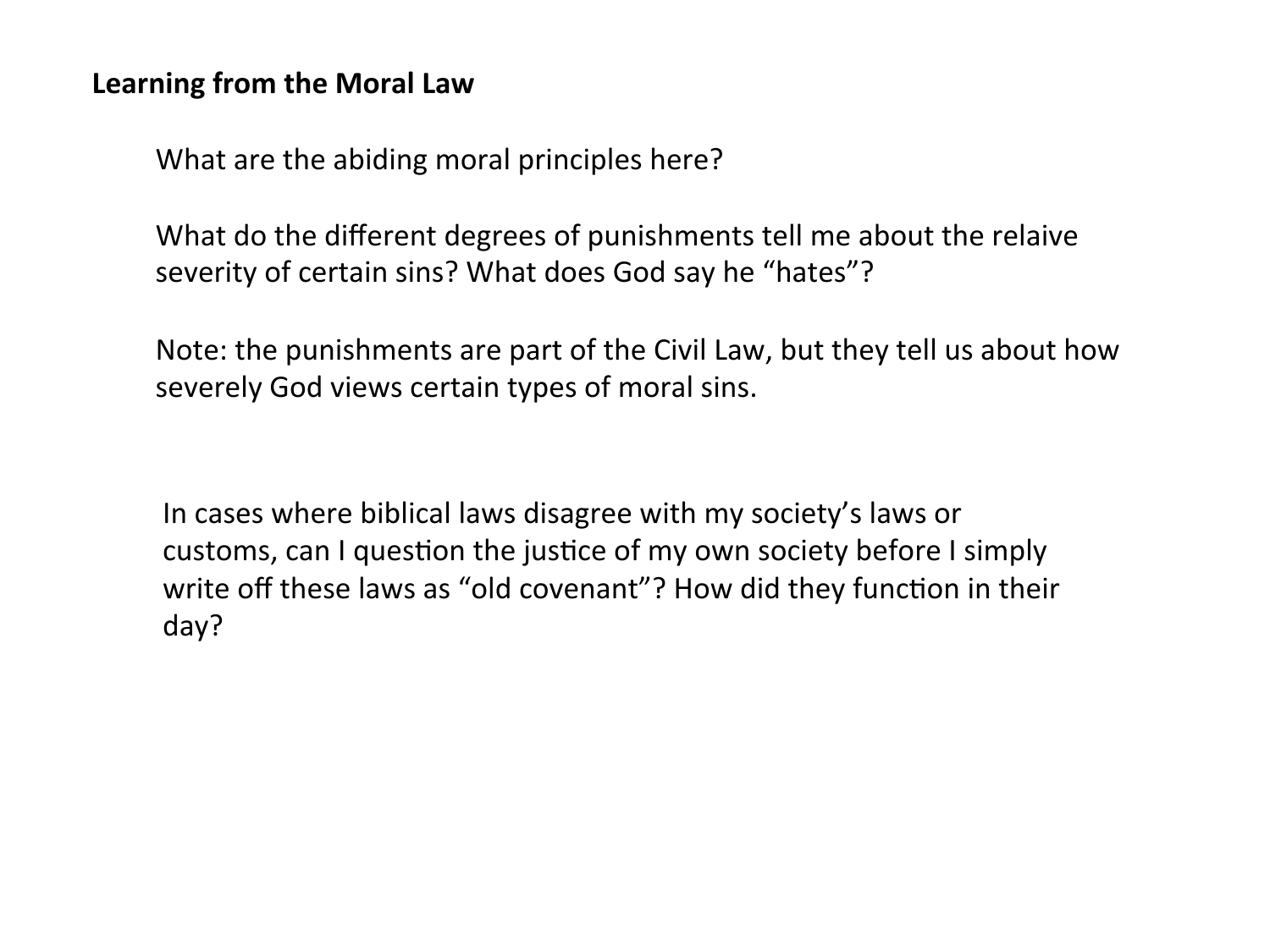### Learning from the Moral Law

What are the abiding moral principles here?

What do the different degrees of punishments tell me about the relaive severity of certain sins? What does God say he "hates"?

Note: the punishments are part of the Civil Law, but they tell us about how severely God views certain types of moral sins.

In cases where biblical laws disagree with my society's laws or customs, can I question the justice of my own society before I simply write off these laws as "old covenant"? How did they function in their day?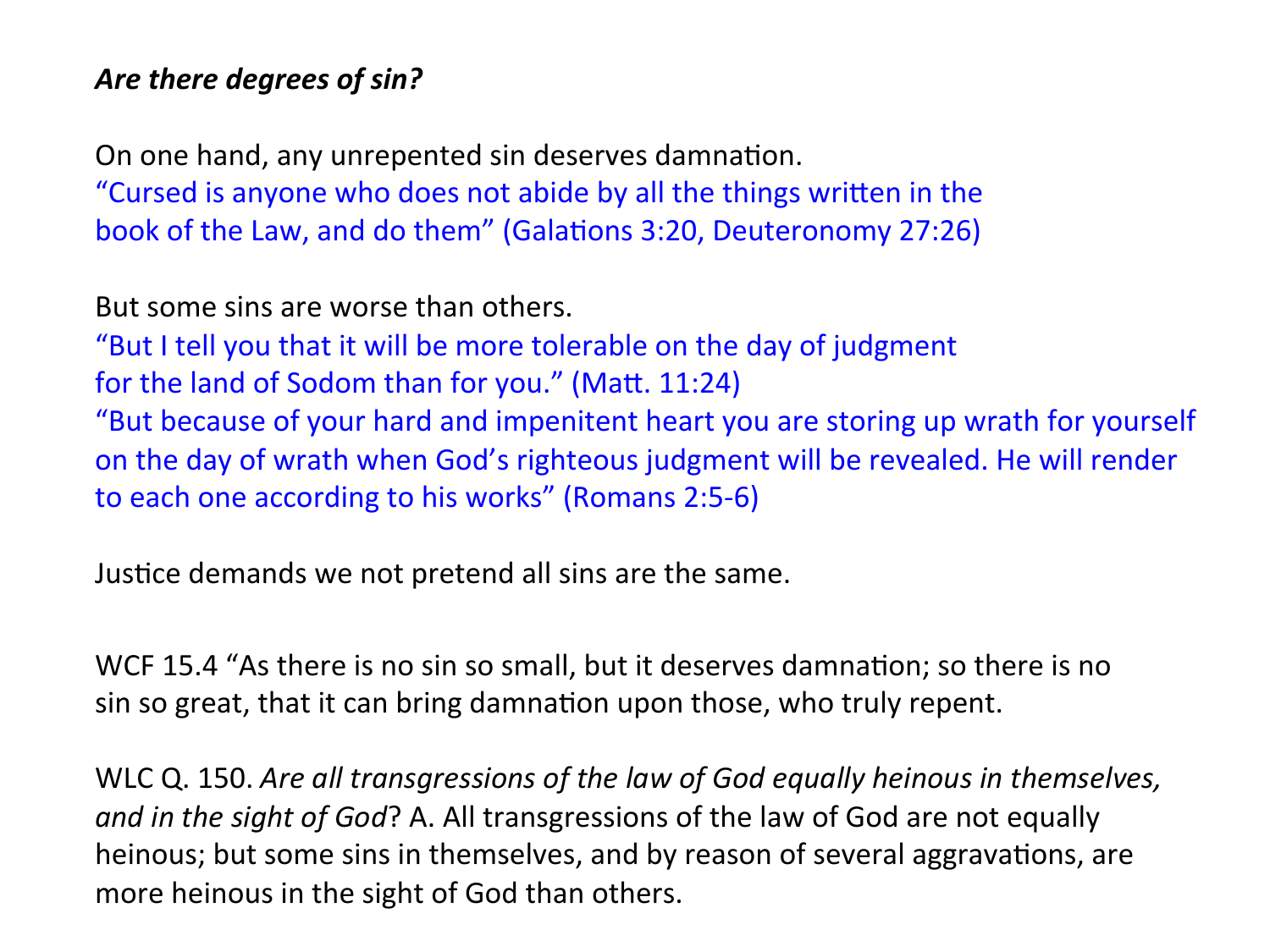## Are there degrees of sin?

On one hand, any unrepented sin deserves damnation. "Cursed is anyone who does not abide by all the things written in the book of the Law, and do them" (Galations 3:20, Deuteronomy 27:26)

But some sins are worse than others.

"But I tell you that it will be more tolerable on the day of judgment for the land of Sodom than for you." (Matt.  $11:24$ ) "But because of your hard and impenitent heart you are storing up wrath for yourself on the day of wrath when God's righteous judgment will be revealed. He will render to each one according to his works" (Romans 2:5-6)

Justice demands we not pretend all sins are the same.

WCF 15.4 "As there is no sin so small, but it deserves damnation; so there is no sin so great, that it can bring damnation upon those, who truly repent.

WLC Q. 150. *Are all transgressions of the law of God equally heinous in themselves, and in the sight of God*? A. All transgressions of the law of God are not equally heinous; but some sins in themselves, and by reason of several aggravations, are more heinous in the sight of God than others.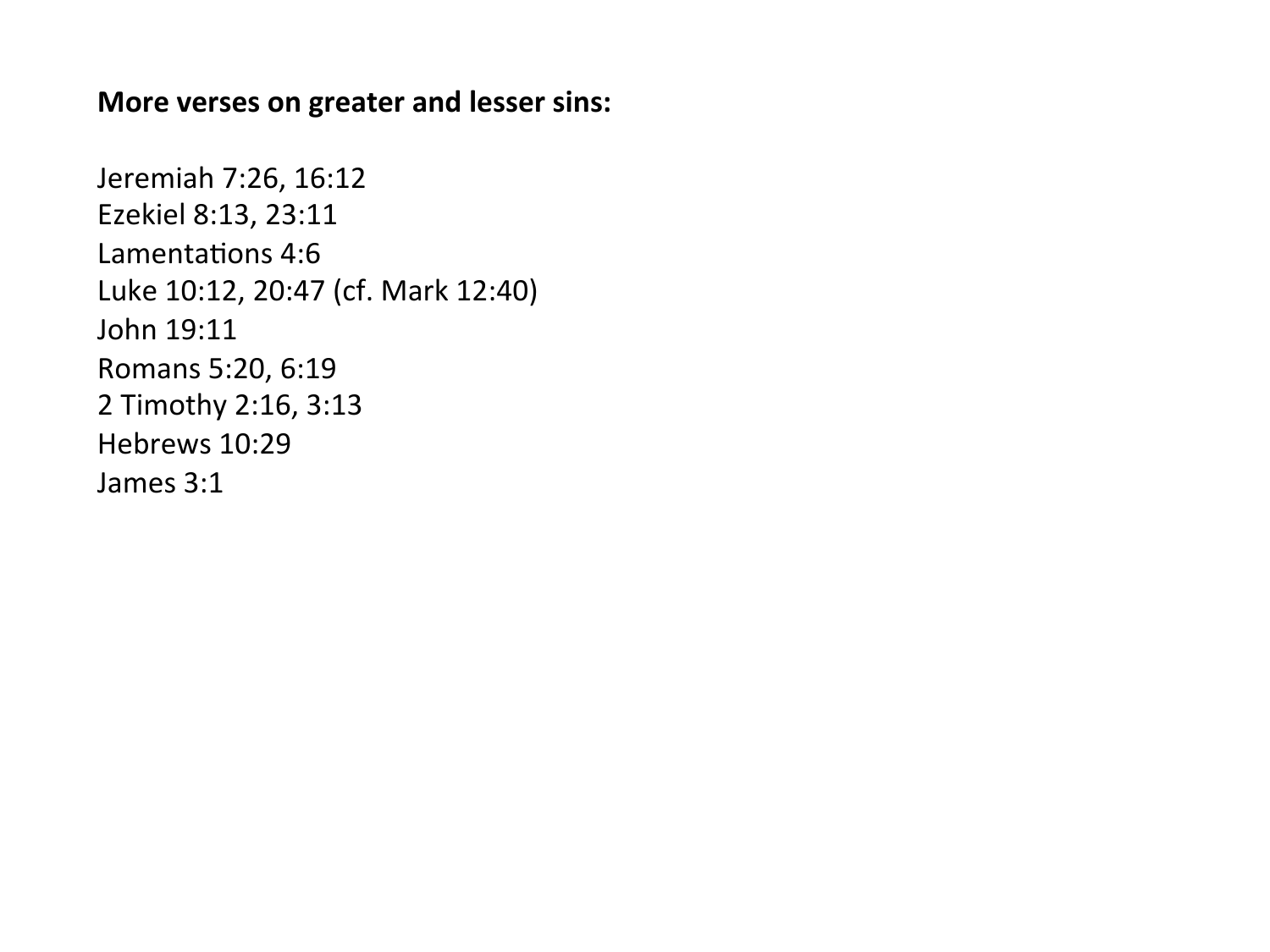#### **More verses on greater and lesser sins:**

Jeremiah 7:26, 16:12 Ezekiel 8:13, 23:11 Lamentations 4:6 Luke 10:12, 20:47 (cf. Mark 12:40) John 19:11 Romans 5:20, 6:19 2 Timothy 2:16, 3:13 Hebrews 10:29 James 3:1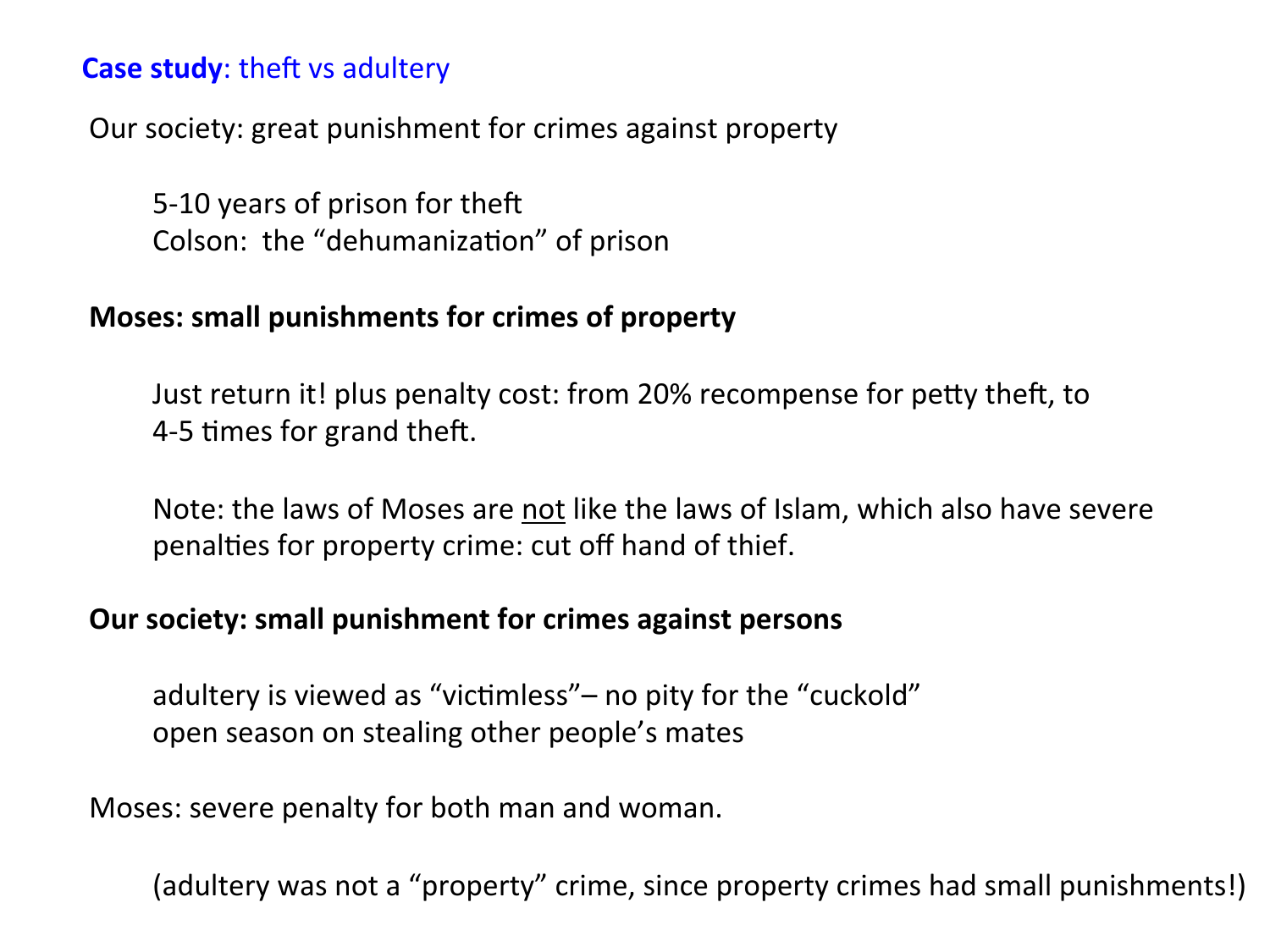### **Case study:** theft vs adultery

Our society: great punishment for crimes against property

5-10 years of prison for theft Colson: the "dehumanization" of prison

### **Moses: small punishments for crimes of property**

Just return it! plus penalty cost: from 20% recompense for petty theft, to 4-5 times for grand theft.

Note: the laws of Moses are not like the laws of Islam, which also have severe penalties for property crime: cut off hand of thief.

### **Our society: small punishment for crimes against persons**

adultery is viewed as "victimless"– no pity for the "cuckold" open season on stealing other people's mates

Moses: severe penalty for both man and woman.

(adultery was not a "property" crime, since property crimes had small punishments!)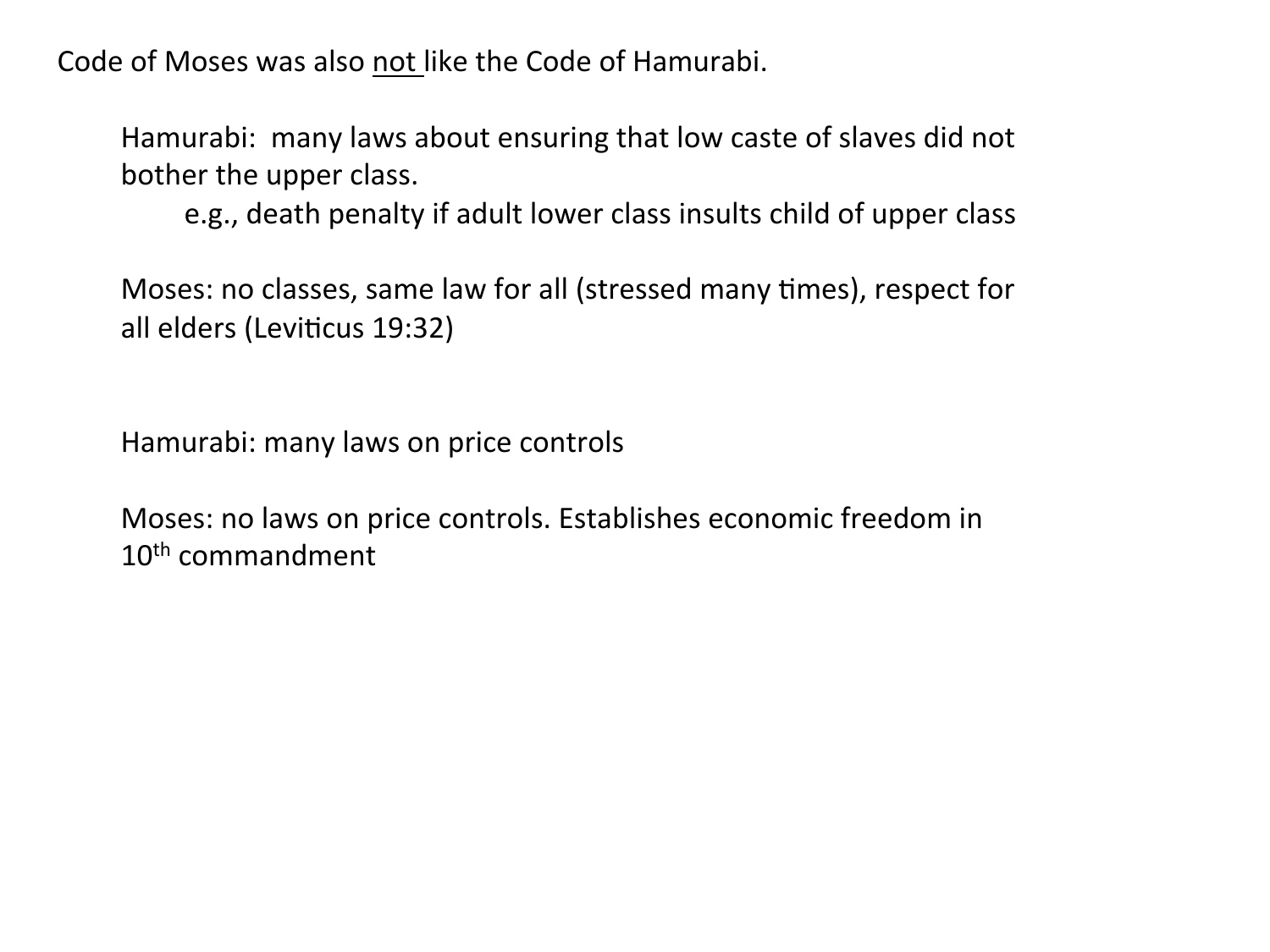Code of Moses was also not like the Code of Hamurabi.

Hamurabi: many laws about ensuring that low caste of slaves did not bother the upper class.

e.g., death penalty if adult lower class insults child of upper class

Moses: no classes, same law for all (stressed many times), respect for all elders (Leviticus 19:32)

Hamurabi: many laws on price controls

Moses: no laws on price controls. Establishes economic freedom in 10<sup>th</sup> commandment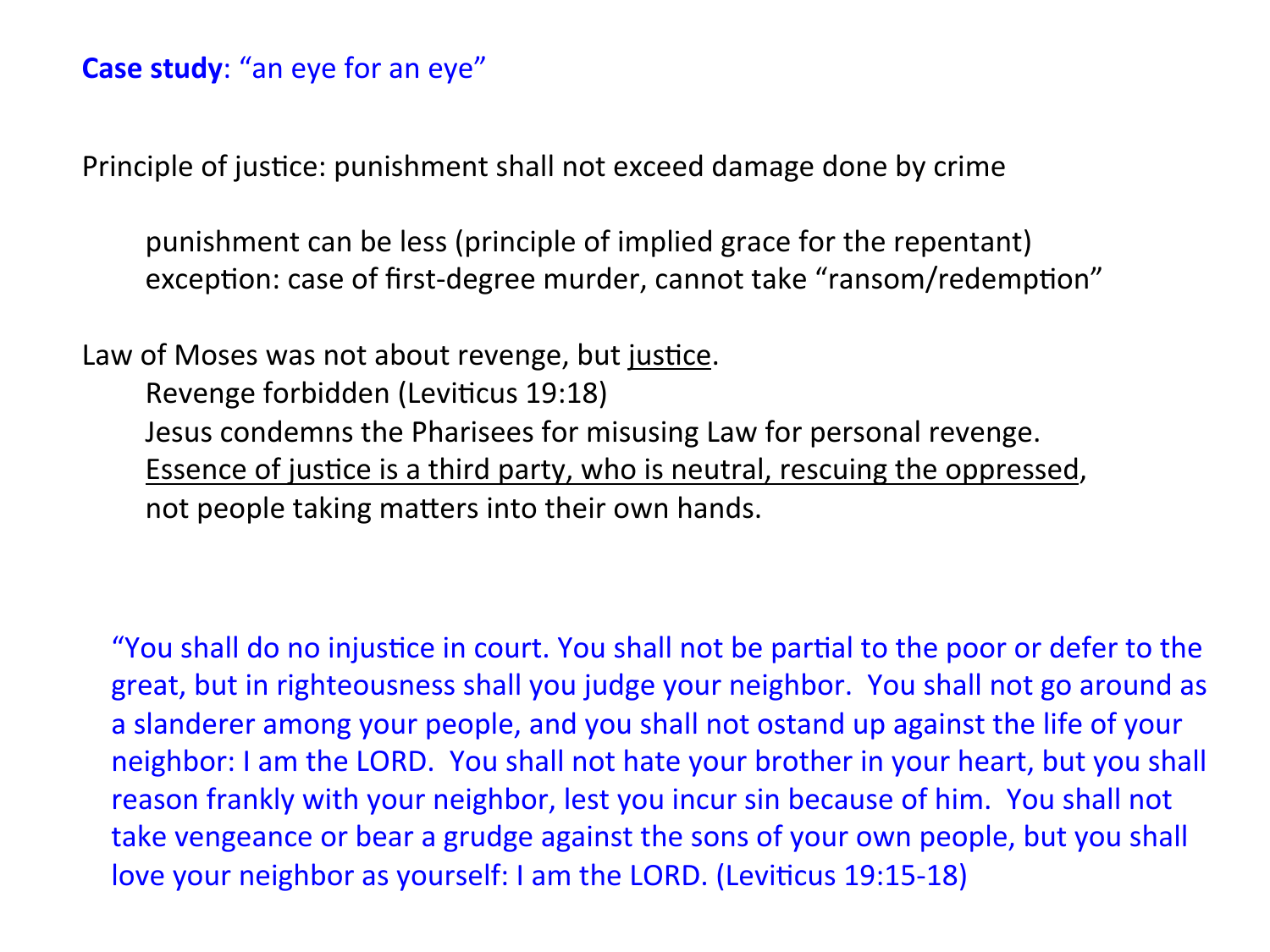## **Case study:** "an eye for an eye"

Principle of justice: punishment shall not exceed damage done by crime

punishment can be less (principle of implied grace for the repentant) exception: case of first-degree murder, cannot take "ransom/redemption"

Law of Moses was not about revenge, but justice. Revenge forbidden (Leviticus 19:18) Jesus condemns the Pharisees for misusing Law for personal revenge. Essence of justice is a third party, who is neutral, rescuing the oppressed, not people taking matters into their own hands.

"You shall do no injustice in court. You shall not be partial to the poor or defer to the great, but in righteousness shall you judge your neighbor. You shall not go around as a slanderer among your people, and you shall not ostand up against the life of your neighbor: I am the LORD. You shall not hate your brother in your heart, but you shall reason frankly with your neighbor, lest you incur sin because of him. You shall not take vengeance or bear a grudge against the sons of your own people, but you shall love your neighbor as yourself: I am the LORD. (Leviticus 19:15-18)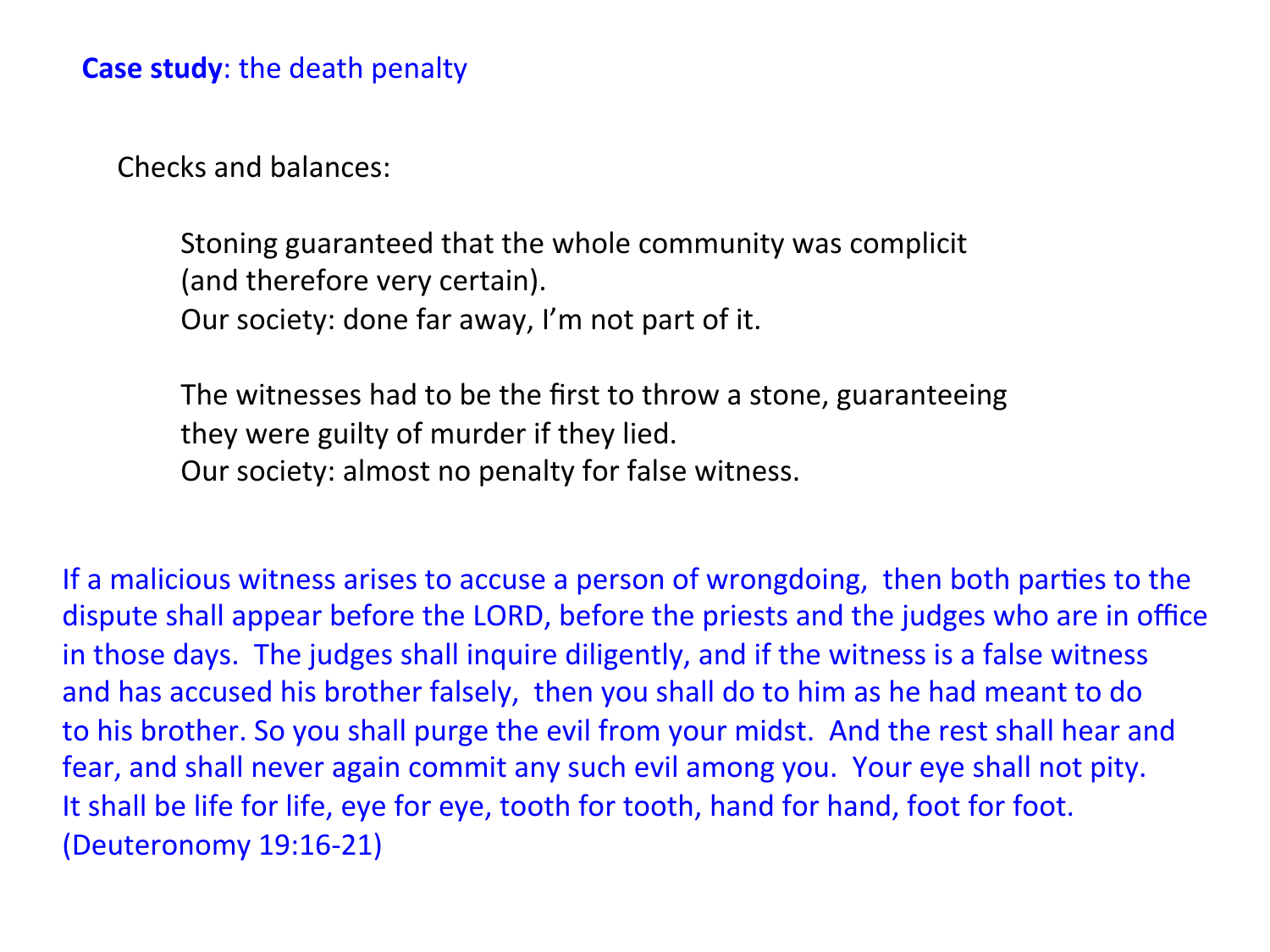Checks and balances:

Stoning guaranteed that the whole community was complicit (and therefore very certain). Our society: done far away, I'm not part of it.

The witnesses had to be the first to throw a stone, guaranteeing they were guilty of murder if they lied. Our society: almost no penalty for false witness.

If a malicious witness arises to accuse a person of wrongdoing, then both parties to the dispute shall appear before the LORD, before the priests and the judges who are in office in those days. The judges shall inquire diligently, and if the witness is a false witness and has accused his brother falsely, then you shall do to him as he had meant to do to his brother. So you shall purge the evil from your midst. And the rest shall hear and fear, and shall never again commit any such evil among you. Your eye shall not pity. It shall be life for life, eye for eye, tooth for tooth, hand for hand, foot for foot. (Deuteronomy 19:16-21)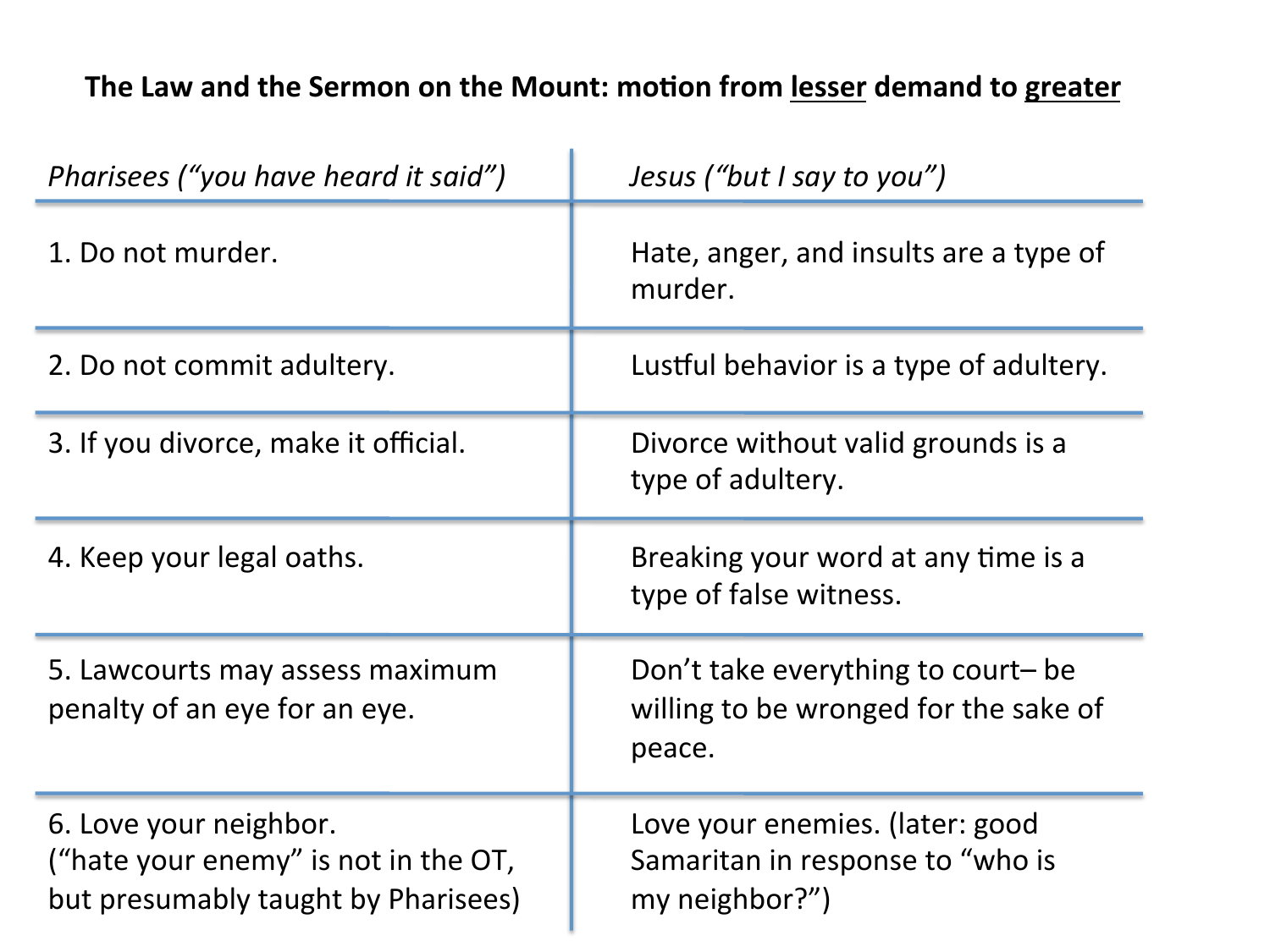# The Law and the Sermon on the Mount: motion from lesser demand to greater

| Pharisees ("you have heard it said")                                                                  | Jesus ("but I say to you")                                                            |
|-------------------------------------------------------------------------------------------------------|---------------------------------------------------------------------------------------|
| 1. Do not murder.                                                                                     | Hate, anger, and insults are a type of<br>murder.                                     |
| 2. Do not commit adultery.                                                                            | Lustful behavior is a type of adultery.                                               |
| 3. If you divorce, make it official.                                                                  | Divorce without valid grounds is a<br>type of adultery.                               |
| 4. Keep your legal oaths.                                                                             | Breaking your word at any time is a<br>type of false witness.                         |
| 5. Lawcourts may assess maximum<br>penalty of an eye for an eye.                                      | Don't take everything to court- be<br>willing to be wronged for the sake of<br>peace. |
| 6. Love your neighbor.<br>("hate your enemy" is not in the OT,<br>but presumably taught by Pharisees) | Love your enemies. (later: good<br>Samaritan in response to "who is<br>my neighbor?") |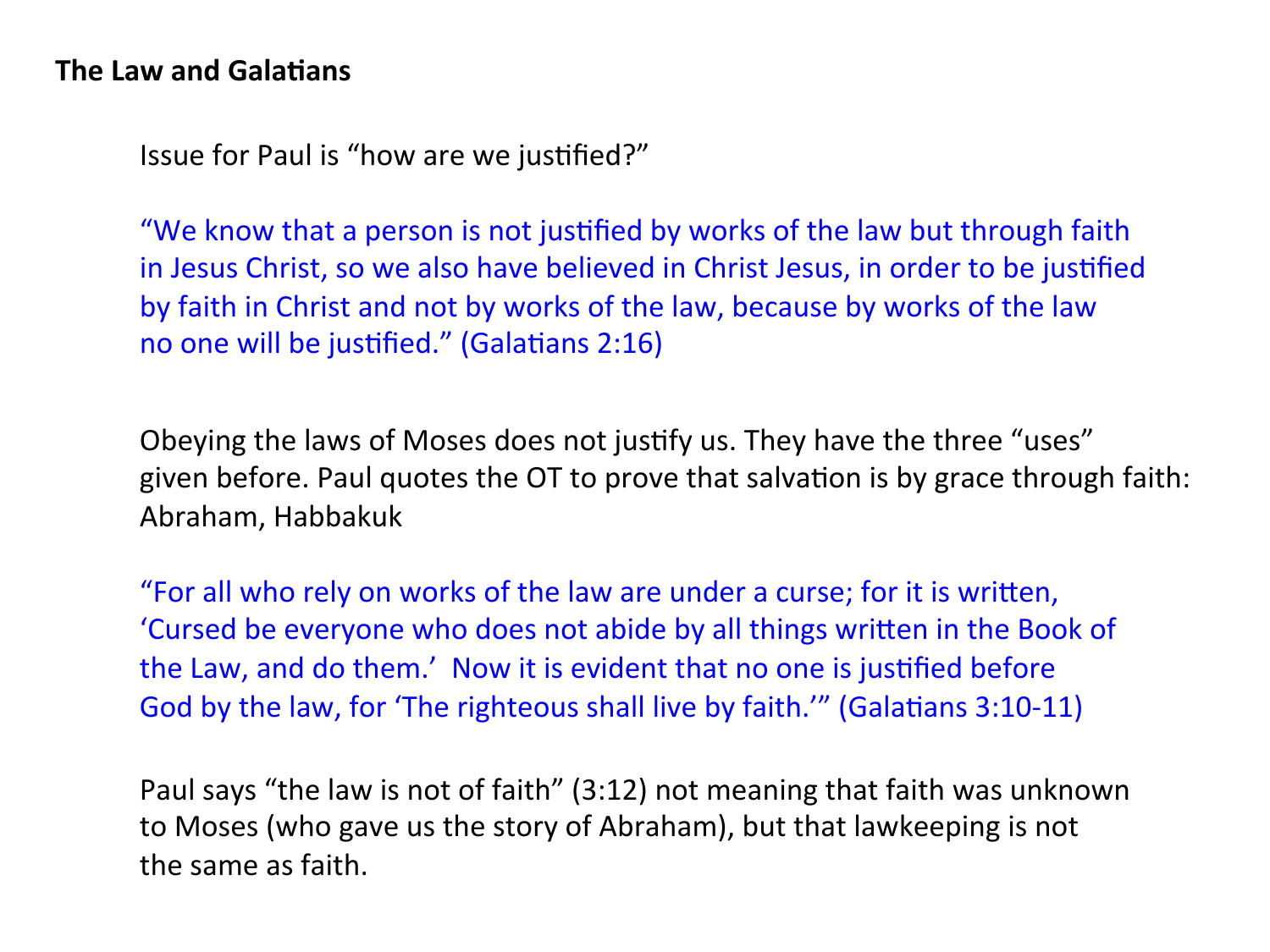#### **The Law and Galatians**

Issue for Paul is "how are we justified?"

"We know that a person is not justified by works of the law but through faith in Jesus Christ, so we also have believed in Christ Jesus, in order to be justified by faith in Christ and not by works of the law, because by works of the law no one will be justified." (Galatians  $2:16$ )

Obeying the laws of Moses does not justify us. They have the three "uses" given before. Paul quotes the OT to prove that salvation is by grace through faith: Abraham, Habbakuk 

"For all who rely on works of the law are under a curse; for it is written, 'Cursed be everyone who does not abide by all things written in the Book of the Law, and do them.' Now it is evident that no one is justified before God by the law, for 'The righteous shall live by faith.'" (Galatians 3:10-11)

Paul says "the law is not of faith" (3:12) not meaning that faith was unknown to Moses (who gave us the story of Abraham), but that lawkeeping is not the same as faith.